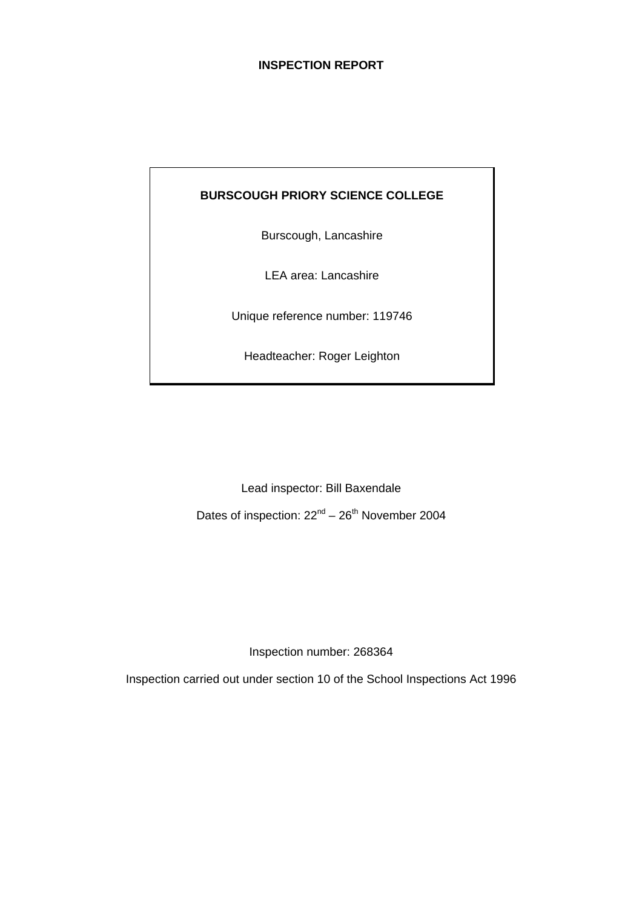# **INSPECTION REPORT**

# **BURSCOUGH PRIORY SCIENCE COLLEGE**

Burscough, Lancashire

LEA area: Lancashire

Unique reference number: 119746

Headteacher: Roger Leighton

Lead inspector: Bill Baxendale

Dates of inspection:  $22<sup>nd</sup> - 26<sup>th</sup>$  November 2004

Inspection number: 268364

Inspection carried out under section 10 of the School Inspections Act 1996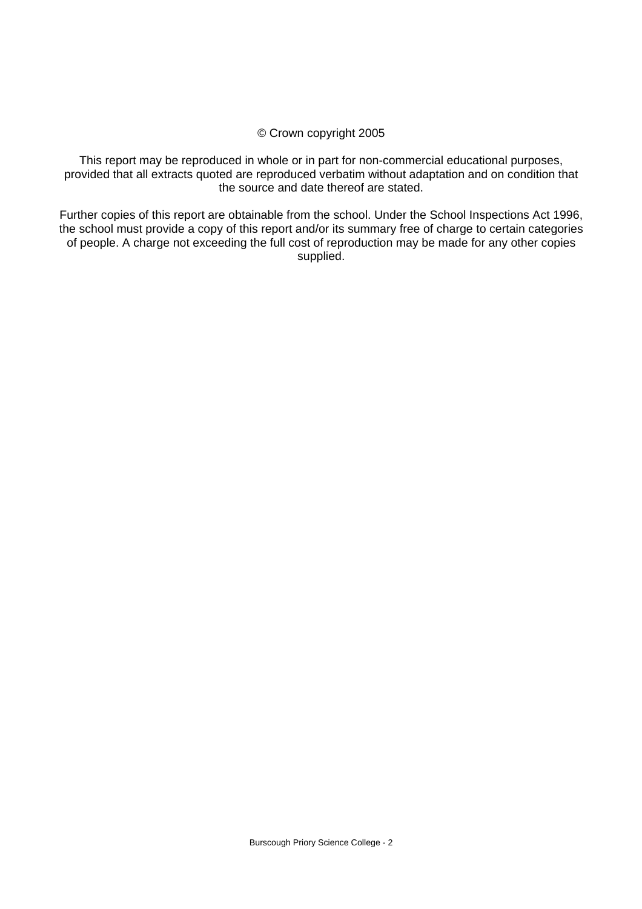#### © Crown copyright 2005

This report may be reproduced in whole or in part for non-commercial educational purposes, provided that all extracts quoted are reproduced verbatim without adaptation and on condition that the source and date thereof are stated.

Further copies of this report are obtainable from the school. Under the School Inspections Act 1996, the school must provide a copy of this report and/or its summary free of charge to certain categories of people. A charge not exceeding the full cost of reproduction may be made for any other copies supplied.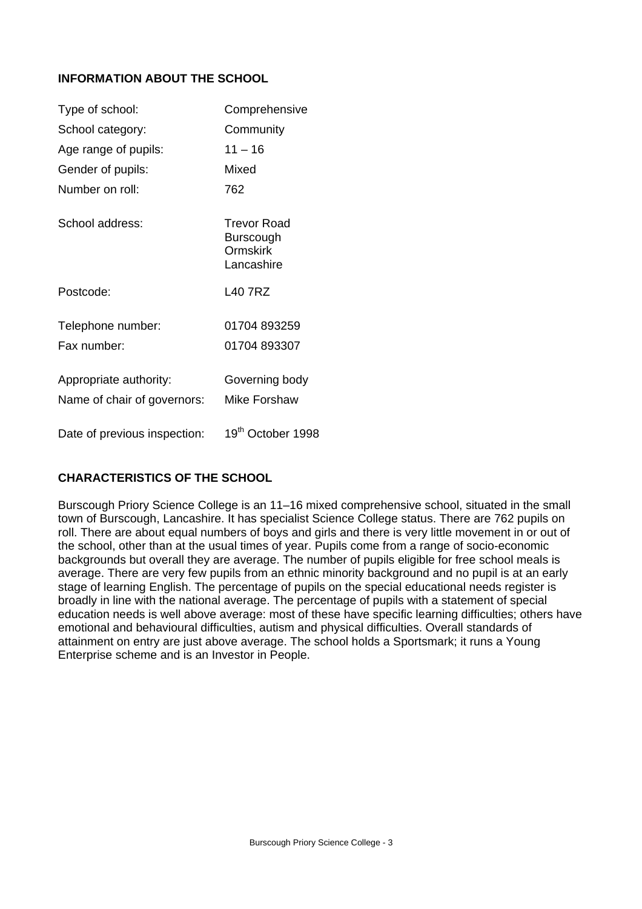# **INFORMATION ABOUT THE SCHOOL**

| Type of school:              | Comprehensive                                             |
|------------------------------|-----------------------------------------------------------|
| School category:             | Community                                                 |
| Age range of pupils:         | $11 - 16$                                                 |
| Gender of pupils:            | Mixed                                                     |
| Number on roll:              | 762                                                       |
| School address:              | Trevor Road<br>Burscough<br><b>Ormskirk</b><br>Lancashire |
| Postcode:                    | I 40 7R7                                                  |
| Telephone number:            | 01704 893259                                              |
| Fax number:                  | 01704 893307                                              |
| Appropriate authority:       | Governing body                                            |
| Name of chair of governors:  | Mike Forshaw                                              |
| Date of previous inspection: | 19th October 1998                                         |

# **CHARACTERISTICS OF THE SCHOOL**

Burscough Priory Science College is an 11–16 mixed comprehensive school, situated in the small town of Burscough, Lancashire. It has specialist Science College status. There are 762 pupils on roll. There are about equal numbers of boys and girls and there is very little movement in or out of the school, other than at the usual times of year. Pupils come from a range of socio-economic backgrounds but overall they are average. The number of pupils eligible for free school meals is average. There are very few pupils from an ethnic minority background and no pupil is at an early stage of learning English. The percentage of pupils on the special educational needs register is broadly in line with the national average. The percentage of pupils with a statement of special education needs is well above average: most of these have specific learning difficulties; others have emotional and behavioural difficulties, autism and physical difficulties. Overall standards of attainment on entry are just above average. The school holds a Sportsmark; it runs a Young Enterprise scheme and is an Investor in People.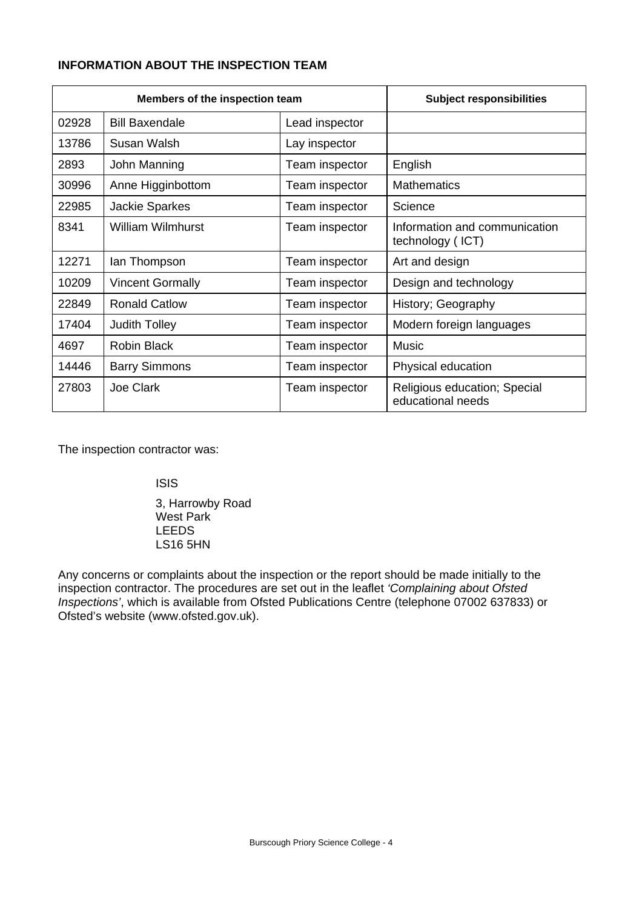# **INFORMATION ABOUT THE INSPECTION TEAM**

| Members of the inspection team |                          |                | <b>Subject responsibilities</b>                   |
|--------------------------------|--------------------------|----------------|---------------------------------------------------|
| 02928                          | <b>Bill Baxendale</b>    | Lead inspector |                                                   |
| 13786                          | Susan Walsh              | Lay inspector  |                                                   |
| 2893                           | John Manning             | Team inspector | English                                           |
| 30996                          | Anne Higginbottom        | Team inspector | <b>Mathematics</b>                                |
| 22985                          | <b>Jackie Sparkes</b>    | Team inspector | Science                                           |
| 8341                           | <b>William Wilmhurst</b> | Team inspector | Information and communication<br>technology (ICT) |
| 12271                          | lan Thompson             | Team inspector | Art and design                                    |
| 10209                          | <b>Vincent Gormally</b>  | Team inspector | Design and technology                             |
| 22849                          | <b>Ronald Catlow</b>     | Team inspector | History; Geography                                |
| 17404                          | <b>Judith Tolley</b>     | Team inspector | Modern foreign languages                          |
| 4697                           | <b>Robin Black</b>       | Team inspector | Music                                             |
| 14446                          | <b>Barry Simmons</b>     | Team inspector | Physical education                                |
| 27803                          | Joe Clark                | Team inspector | Religious education; Special<br>educational needs |

The inspection contractor was:

ISIS

 3, Harrowby Road West Park LEEDS LS16 5HN

Any concerns or complaints about the inspection or the report should be made initially to the inspection contractor. The procedures are set out in the leaflet *'Complaining about Ofsted Inspections'*, which is available from Ofsted Publications Centre (telephone 07002 637833) or Ofsted's website (www.ofsted.gov.uk).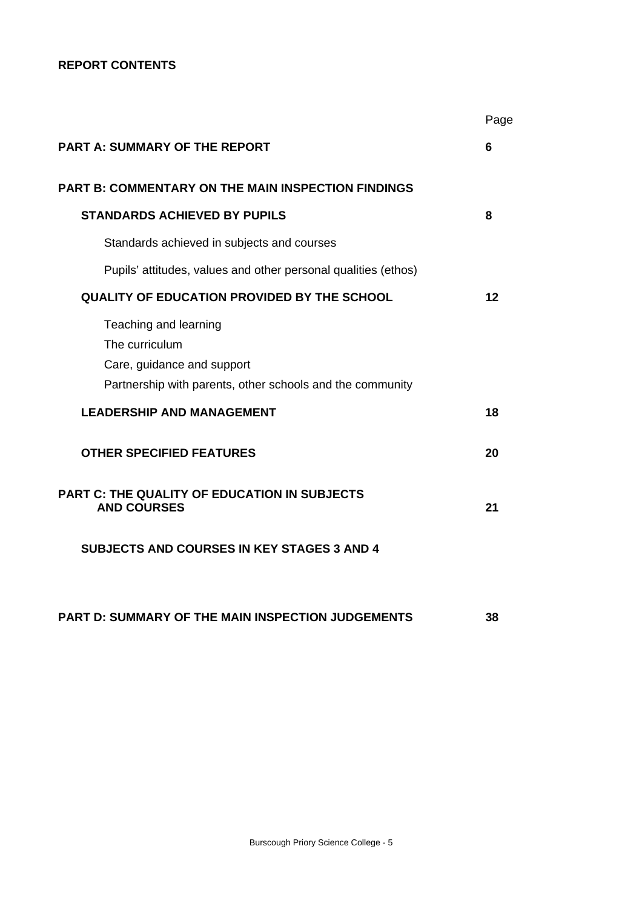# **REPORT CONTENTS**

|                                                                                                                                    | Page |
|------------------------------------------------------------------------------------------------------------------------------------|------|
| <b>PART A: SUMMARY OF THE REPORT</b>                                                                                               | 6    |
| <b>PART B: COMMENTARY ON THE MAIN INSPECTION FINDINGS</b>                                                                          |      |
| <b>STANDARDS ACHIEVED BY PUPILS</b>                                                                                                | 8    |
| Standards achieved in subjects and courses                                                                                         |      |
| Pupils' attitudes, values and other personal qualities (ethos)                                                                     |      |
| <b>QUALITY OF EDUCATION PROVIDED BY THE SCHOOL</b>                                                                                 | 12   |
| Teaching and learning<br>The curriculum<br>Care, guidance and support<br>Partnership with parents, other schools and the community |      |
| <b>LEADERSHIP AND MANAGEMENT</b>                                                                                                   | 18   |
| <b>OTHER SPECIFIED FEATURES</b>                                                                                                    | 20   |
| <b>PART C: THE QUALITY OF EDUCATION IN SUBJECTS</b><br><b>AND COURSES</b>                                                          | 21   |
| <b>SUBJECTS AND COURSES IN KEY STAGES 3 AND 4</b>                                                                                  |      |
| PART D: SUMMARY OF THE MAIN INSPECTION JUDGEMENTS                                                                                  | 38   |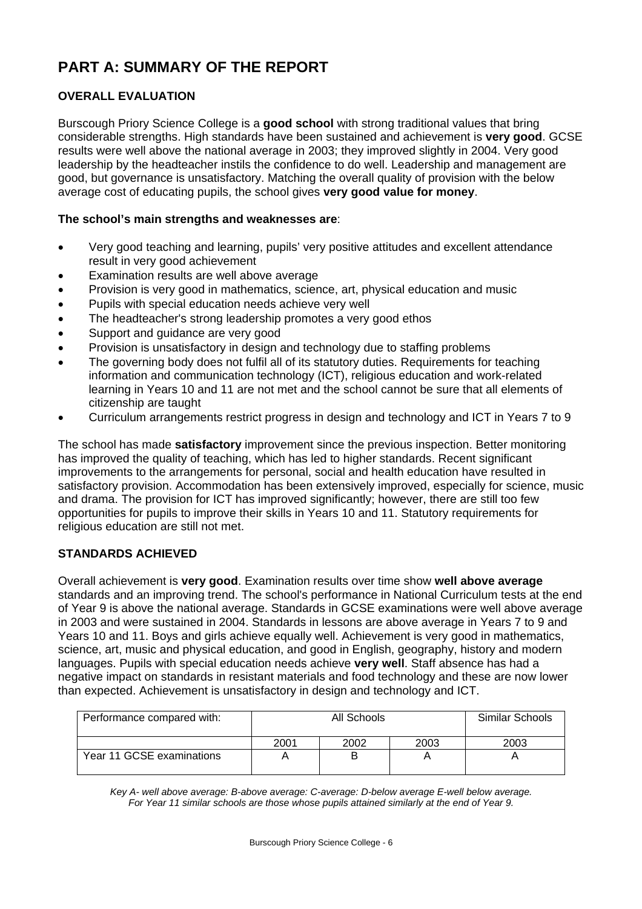# **PART A: SUMMARY OF THE REPORT**

# **OVERALL EVALUATION**

Burscough Priory Science College is a **good school** with strong traditional values that bring considerable strengths. High standards have been sustained and achievement is **very good**. GCSE results were well above the national average in 2003; they improved slightly in 2004. Very good leadership by the headteacher instils the confidence to do well. Leadership and management are good, but governance is unsatisfactory. Matching the overall quality of provision with the below average cost of educating pupils, the school gives **very good value for money**.

# **The school's main strengths and weaknesses are**:

- Very good teaching and learning, pupils' very positive attitudes and excellent attendance result in very good achievement
- Examination results are well above average
- Provision is very good in mathematics, science, art, physical education and music
- Pupils with special education needs achieve very well
- The headteacher's strong leadership promotes a very good ethos
- Support and guidance are very good
- Provision is unsatisfactory in design and technology due to staffing problems
- The governing body does not fulfil all of its statutory duties. Requirements for teaching information and communication technology (ICT), religious education and work-related learning in Years 10 and 11 are not met and the school cannot be sure that all elements of citizenship are taught
- Curriculum arrangements restrict progress in design and technology and ICT in Years 7 to 9

The school has made **satisfactory** improvement since the previous inspection. Better monitoring has improved the quality of teaching, which has led to higher standards. Recent significant improvements to the arrangements for personal, social and health education have resulted in satisfactory provision. Accommodation has been extensively improved, especially for science, music and drama. The provision for ICT has improved significantly; however, there are still too few opportunities for pupils to improve their skills in Years 10 and 11. Statutory requirements for religious education are still not met.

# **STANDARDS ACHIEVED**

Overall achievement is **very good**. Examination results over time show **well above average** standards and an improving trend. The school's performance in National Curriculum tests at the end of Year 9 is above the national average. Standards in GCSE examinations were well above average in 2003 and were sustained in 2004. Standards in lessons are above average in Years 7 to 9 and Years 10 and 11. Boys and girls achieve equally well. Achievement is very good in mathematics, science, art, music and physical education, and good in English, geography, history and modern languages. Pupils with special education needs achieve **very well**. Staff absence has had a negative impact on standards in resistant materials and food technology and these are now lower than expected. Achievement is unsatisfactory in design and technology and ICT.

| Performance compared with: | All Schools |      |      | Similar Schools |
|----------------------------|-------------|------|------|-----------------|
|                            | 2001        | 2002 | 2003 | 2003            |
| Year 11 GCSE examinations  |             | B    |      |                 |

*Key A- well above average: B-above average: C-average: D-below average E-well below average. For Year 11 similar schools are those whose pupils attained similarly at the end of Year 9.*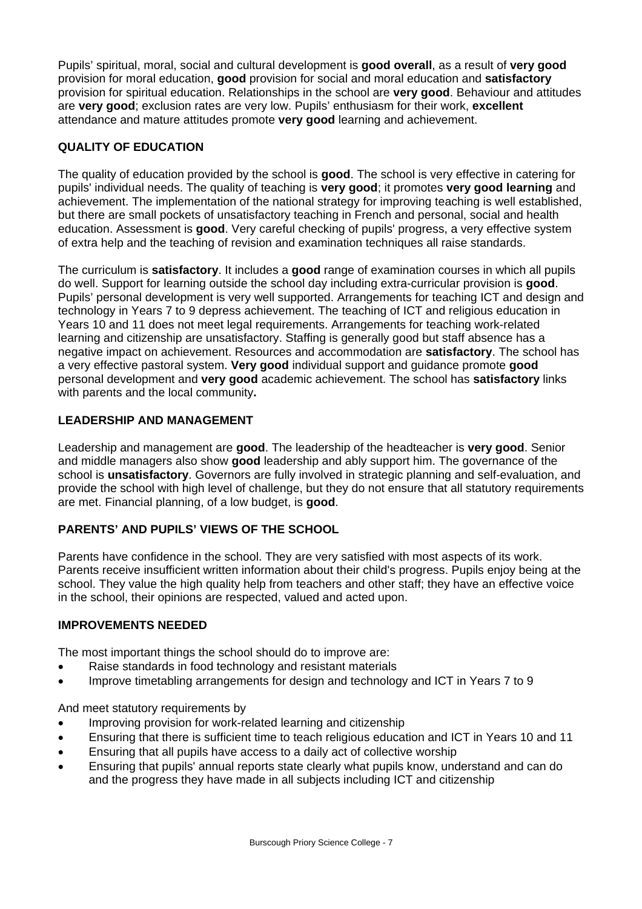Pupils' spiritual, moral, social and cultural development is **good overall**, as a result of **very good**  provision for moral education, **good** provision for social and moral education and **satisfactory**  provision for spiritual education. Relationships in the school are **very good**. Behaviour and attitudes are **very good**; exclusion rates are very low. Pupils' enthusiasm for their work, **excellent**  attendance and mature attitudes promote **very good** learning and achievement.

# **QUALITY OF EDUCATION**

The quality of education provided by the school is **good**. The school is very effective in catering for pupils' individual needs. The quality of teaching is **very good**; it promotes **very good learning** and achievement. The implementation of the national strategy for improving teaching is well established, but there are small pockets of unsatisfactory teaching in French and personal, social and health education. Assessment is **good**. Very careful checking of pupils' progress, a very effective system of extra help and the teaching of revision and examination techniques all raise standards.

The curriculum is **satisfactory**. It includes a **good** range of examination courses in which all pupils do well. Support for learning outside the school day including extra-curricular provision is **good**. Pupils' personal development is very well supported. Arrangements for teaching ICT and design and technology in Years 7 to 9 depress achievement. The teaching of ICT and religious education in Years 10 and 11 does not meet legal requirements. Arrangements for teaching work-related learning and citizenship are unsatisfactory. Staffing is generally good but staff absence has a negative impact on achievement. Resources and accommodation are **satisfactory**. The school has a very effective pastoral system. **Very good** individual support and guidance promote **good** personal development and **very good** academic achievement. The school has **satisfactory** links with parents and the local community**.** 

# **LEADERSHIP AND MANAGEMENT**

Leadership and management are **good**. The leadership of the headteacher is **very good**. Senior and middle managers also show **good** leadership and ably support him. The governance of the school is **unsatisfactory**. Governors are fully involved in strategic planning and self-evaluation, and provide the school with high level of challenge, but they do not ensure that all statutory requirements are met. Financial planning, of a low budget, is **good**.

# **PARENTS' AND PUPILS' VIEWS OF THE SCHOOL**

Parents have confidence in the school. They are very satisfied with most aspects of its work. Parents receive insufficient written information about their child's progress. Pupils enjoy being at the school. They value the high quality help from teachers and other staff; they have an effective voice in the school, their opinions are respected, valued and acted upon.

# **IMPROVEMENTS NEEDED**

The most important things the school should do to improve are:

- Raise standards in food technology and resistant materials
- Improve timetabling arrangements for design and technology and ICT in Years 7 to 9

And meet statutory requirements by

- Improving provision for work-related learning and citizenship
- Ensuring that there is sufficient time to teach religious education and ICT in Years 10 and 11
- Ensuring that all pupils have access to a daily act of collective worship
- Ensuring that pupils' annual reports state clearly what pupils know, understand and can do and the progress they have made in all subjects including ICT and citizenship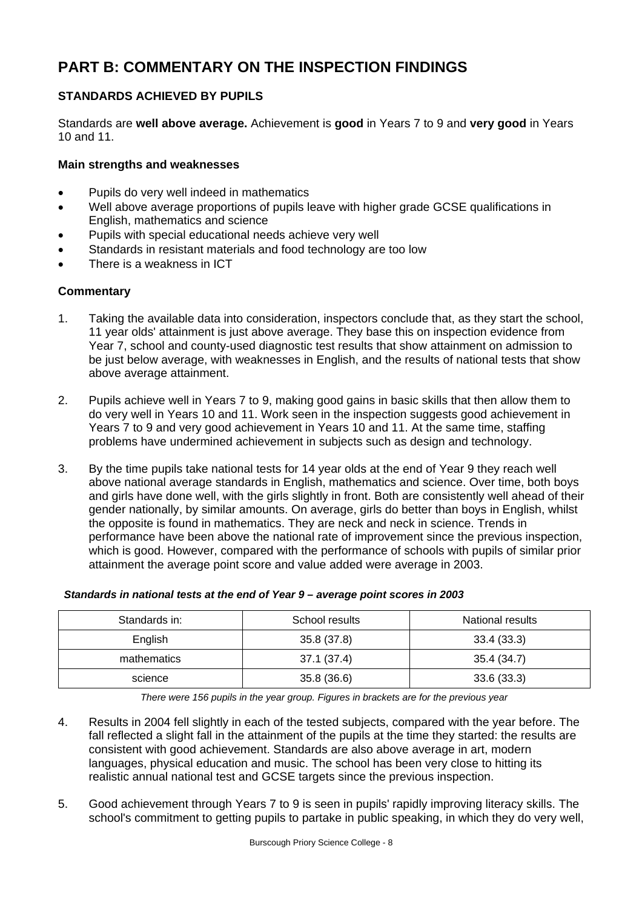# **PART B: COMMENTARY ON THE INSPECTION FINDINGS**

# **STANDARDS ACHIEVED BY PUPILS**

Standards are **well above average.** Achievement is **good** in Years 7 to 9 and **very good** in Years 10 and 11.

# **Main strengths and weaknesses**

- Pupils do very well indeed in mathematics
- Well above average proportions of pupils leave with higher grade GCSE qualifications in English, mathematics and science
- Pupils with special educational needs achieve very well
- Standards in resistant materials and food technology are too low
- There is a weakness in ICT

# **Commentary**

- 1. Taking the available data into consideration, inspectors conclude that, as they start the school, 11 year olds' attainment is just above average. They base this on inspection evidence from Year 7, school and county-used diagnostic test results that show attainment on admission to be just below average, with weaknesses in English, and the results of national tests that show above average attainment.
- 2. Pupils achieve well in Years 7 to 9, making good gains in basic skills that then allow them to do very well in Years 10 and 11. Work seen in the inspection suggests good achievement in Years 7 to 9 and very good achievement in Years 10 and 11. At the same time, staffing problems have undermined achievement in subjects such as design and technology.
- 3. By the time pupils take national tests for 14 year olds at the end of Year 9 they reach well above national average standards in English, mathematics and science. Over time, both boys and girls have done well, with the girls slightly in front. Both are consistently well ahead of their gender nationally, by similar amounts. On average, girls do better than boys in English, whilst the opposite is found in mathematics. They are neck and neck in science. Trends in performance have been above the national rate of improvement since the previous inspection, which is good. However, compared with the performance of schools with pupils of similar prior attainment the average point score and value added were average in 2003.

| Standards in: | School results | National results |  |  |
|---------------|----------------|------------------|--|--|
| English       | 35.8 (37.8)    | 33.4(33.3)       |  |  |
| mathematics   | 37.1(37.4)     | 35.4 (34.7)      |  |  |
| science       | 35.8(36.6)     | 33.6(33.3)       |  |  |

#### *Standards in national tests at the end of Year 9 – average point scores in 2003*

*There were 156 pupils in the year group. Figures in brackets are for the previous year* 

- 4. Results in 2004 fell slightly in each of the tested subjects, compared with the year before. The fall reflected a slight fall in the attainment of the pupils at the time they started: the results are consistent with good achievement. Standards are also above average in art, modern languages, physical education and music. The school has been very close to hitting its realistic annual national test and GCSE targets since the previous inspection.
- 5. Good achievement through Years 7 to 9 is seen in pupils' rapidly improving literacy skills. The school's commitment to getting pupils to partake in public speaking, in which they do very well,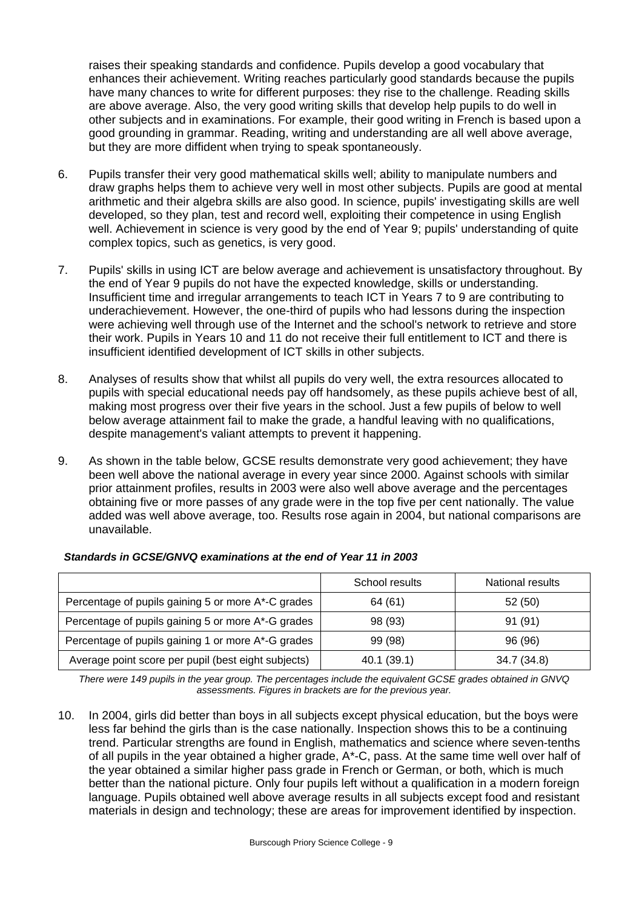raises their speaking standards and confidence. Pupils develop a good vocabulary that enhances their achievement. Writing reaches particularly good standards because the pupils have many chances to write for different purposes: they rise to the challenge. Reading skills are above average. Also, the very good writing skills that develop help pupils to do well in other subjects and in examinations. For example, their good writing in French is based upon a good grounding in grammar. Reading, writing and understanding are all well above average, but they are more diffident when trying to speak spontaneously.

- 6. Pupils transfer their very good mathematical skills well; ability to manipulate numbers and draw graphs helps them to achieve very well in most other subjects. Pupils are good at mental arithmetic and their algebra skills are also good. In science, pupils' investigating skills are well developed, so they plan, test and record well, exploiting their competence in using English well. Achievement in science is very good by the end of Year 9; pupils' understanding of quite complex topics, such as genetics, is very good.
- 7. Pupils' skills in using ICT are below average and achievement is unsatisfactory throughout. By the end of Year 9 pupils do not have the expected knowledge, skills or understanding. Insufficient time and irregular arrangements to teach ICT in Years 7 to 9 are contributing to underachievement. However, the one-third of pupils who had lessons during the inspection were achieving well through use of the Internet and the school's network to retrieve and store their work. Pupils in Years 10 and 11 do not receive their full entitlement to ICT and there is insufficient identified development of ICT skills in other subjects.
- 8. Analyses of results show that whilst all pupils do very well, the extra resources allocated to pupils with special educational needs pay off handsomely, as these pupils achieve best of all, making most progress over their five years in the school. Just a few pupils of below to well below average attainment fail to make the grade, a handful leaving with no qualifications, despite management's valiant attempts to prevent it happening.
- 9. As shown in the table below, GCSE results demonstrate very good achievement; they have been well above the national average in every year since 2000. Against schools with similar prior attainment profiles, results in 2003 were also well above average and the percentages obtaining five or more passes of any grade were in the top five per cent nationally. The value added was well above average, too. Results rose again in 2004, but national comparisons are unavailable.

|                                                     | School results | National results |
|-----------------------------------------------------|----------------|------------------|
| Percentage of pupils gaining 5 or more A*-C grades  | 64 (61)        | 52 (50)          |
| Percentage of pupils gaining 5 or more A*-G grades  | 98 (93)        | 91(91)           |
| Percentage of pupils gaining 1 or more A*-G grades  | 99 (98)        | 96 (96)          |
| Average point score per pupil (best eight subjects) | 40.1 (39.1)    | 34.7 (34.8)      |

#### *Standards in GCSE/GNVQ examinations at the end of Year 11 in 2003*

*There were 149 pupils in the year group. The percentages include the equivalent GCSE grades obtained in GNVQ assessments. Figures in brackets are for the previous year.* 

10. In 2004, girls did better than boys in all subjects except physical education, but the boys were less far behind the girls than is the case nationally. Inspection shows this to be a continuing trend. Particular strengths are found in English, mathematics and science where seven-tenths of all pupils in the year obtained a higher grade, A\*-C, pass. At the same time well over half of the year obtained a similar higher pass grade in French or German, or both, which is much better than the national picture. Only four pupils left without a qualification in a modern foreign language. Pupils obtained well above average results in all subjects except food and resistant materials in design and technology; these are areas for improvement identified by inspection.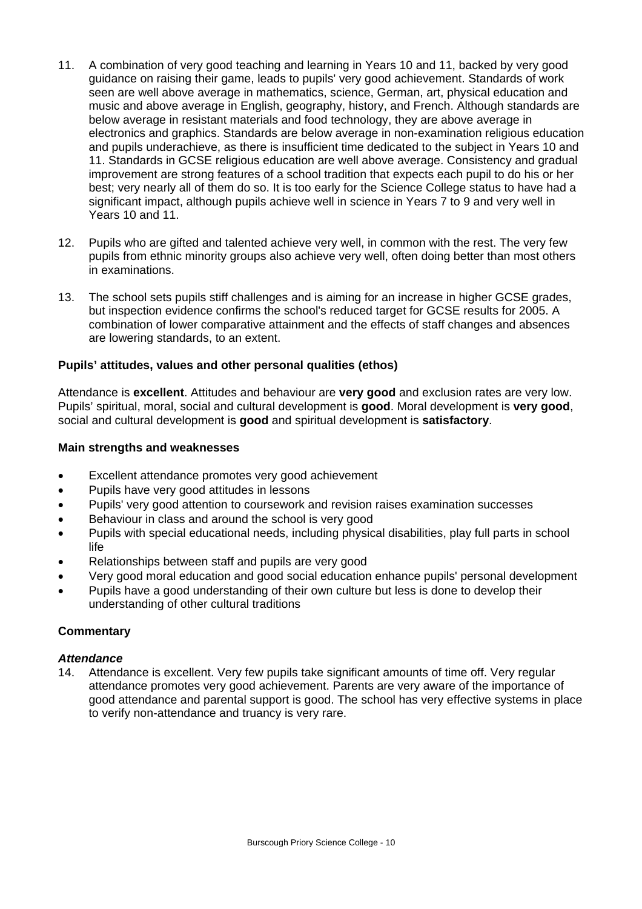- 11. A combination of very good teaching and learning in Years 10 and 11, backed by very good guidance on raising their game, leads to pupils' very good achievement. Standards of work seen are well above average in mathematics, science, German, art, physical education and music and above average in English, geography, history, and French. Although standards are below average in resistant materials and food technology, they are above average in electronics and graphics. Standards are below average in non-examination religious education and pupils underachieve, as there is insufficient time dedicated to the subject in Years 10 and 11. Standards in GCSE religious education are well above average. Consistency and gradual improvement are strong features of a school tradition that expects each pupil to do his or her best; very nearly all of them do so. It is too early for the Science College status to have had a significant impact, although pupils achieve well in science in Years 7 to 9 and very well in Years 10 and 11.
- 12. Pupils who are gifted and talented achieve very well, in common with the rest. The very few pupils from ethnic minority groups also achieve very well, often doing better than most others in examinations.
- 13. The school sets pupils stiff challenges and is aiming for an increase in higher GCSE grades, but inspection evidence confirms the school's reduced target for GCSE results for 2005. A combination of lower comparative attainment and the effects of staff changes and absences are lowering standards, to an extent.

# **Pupils' attitudes, values and other personal qualities (ethos)**

Attendance is **excellent**. Attitudes and behaviour are **very good** and exclusion rates are very low. Pupils' spiritual, moral, social and cultural development is **good**. Moral development is **very good**, social and cultural development is **good** and spiritual development is **satisfactory**.

# **Main strengths and weaknesses**

- Excellent attendance promotes very good achievement
- Pupils have very good attitudes in lessons
- Pupils' very good attention to coursework and revision raises examination successes
- Behaviour in class and around the school is very good
- Pupils with special educational needs, including physical disabilities, play full parts in school life
- Relationships between staff and pupils are very good
- Very good moral education and good social education enhance pupils' personal development
- Pupils have a good understanding of their own culture but less is done to develop their understanding of other cultural traditions

# **Commentary**

# *Attendance*

14. Attendance is excellent. Very few pupils take significant amounts of time off. Very regular attendance promotes very good achievement. Parents are very aware of the importance of good attendance and parental support is good. The school has very effective systems in place to verify non-attendance and truancy is very rare.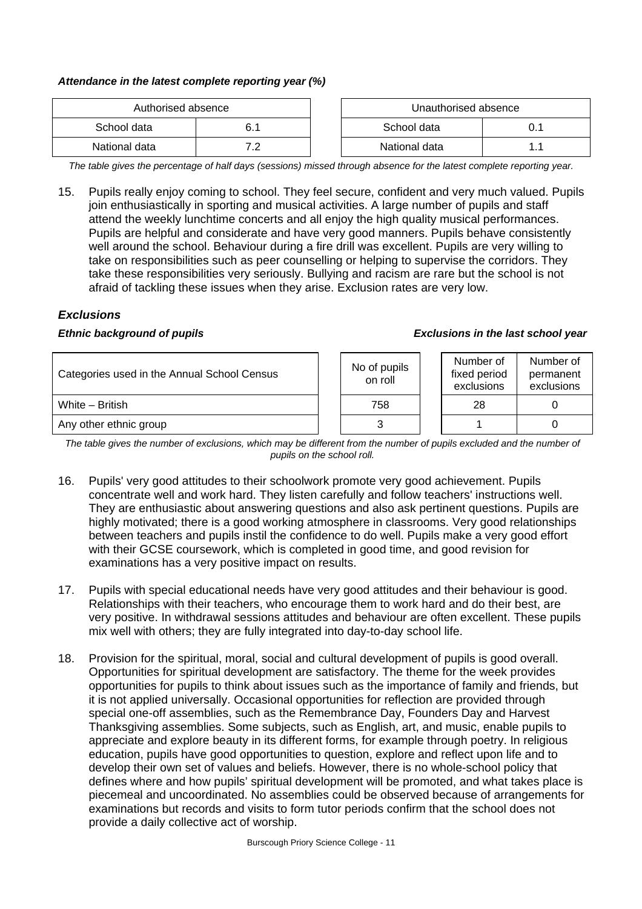#### *Attendance in the latest complete reporting year (%)*

| Authorised absence |     | Unauthorised absence |  |
|--------------------|-----|----------------------|--|
| School data        |     | School data          |  |
| National data      | . . | National data        |  |

*The table gives the percentage of half days (sessions) missed through absence for the latest complete reporting year.*

15. Pupils really enjoy coming to school. They feel secure, confident and very much valued. Pupils join enthusiastically in sporting and musical activities. A large number of pupils and staff attend the weekly lunchtime concerts and all enjoy the high quality musical performances. Pupils are helpful and considerate and have very good manners. Pupils behave consistently well around the school. Behaviour during a fire drill was excellent. Pupils are very willing to take on responsibilities such as peer counselling or helping to supervise the corridors. They take these responsibilities very seriously. Bullying and racism are rare but the school is not afraid of tackling these issues when they arise. Exclusion rates are very low.

# *Exclusions*

#### *Ethnic background of pupils Exclusions in the last school year*

| Categories used in the Annual School Census | No of pupils<br>on roll | Number of<br>fixed period<br>exclusions | Number of<br>permanent<br>exclusions |
|---------------------------------------------|-------------------------|-----------------------------------------|--------------------------------------|
| White - British                             | 758                     | 28                                      |                                      |
| Any other ethnic group                      |                         |                                         |                                      |

The table gives the number of exclusions, which may be different from the number of pupils excluded and the number of *pupils on the school roll.*

- 16. Pupils' very good attitudes to their schoolwork promote very good achievement. Pupils concentrate well and work hard. They listen carefully and follow teachers' instructions well. They are enthusiastic about answering questions and also ask pertinent questions. Pupils are highly motivated; there is a good working atmosphere in classrooms. Very good relationships between teachers and pupils instil the confidence to do well. Pupils make a very good effort with their GCSE coursework, which is completed in good time, and good revision for examinations has a very positive impact on results.
- 17. Pupils with special educational needs have very good attitudes and their behaviour is good. Relationships with their teachers, who encourage them to work hard and do their best, are very positive. In withdrawal sessions attitudes and behaviour are often excellent. These pupils mix well with others; they are fully integrated into day-to-day school life.
- 18. Provision for the spiritual, moral, social and cultural development of pupils is good overall. Opportunities for spiritual development are satisfactory. The theme for the week provides opportunities for pupils to think about issues such as the importance of family and friends, but it is not applied universally. Occasional opportunities for reflection are provided through special one-off assemblies, such as the Remembrance Day, Founders Day and Harvest Thanksgiving assemblies. Some subjects, such as English, art, and music, enable pupils to appreciate and explore beauty in its different forms, for example through poetry. In religious education, pupils have good opportunities to question, explore and reflect upon life and to develop their own set of values and beliefs. However, there is no whole-school policy that defines where and how pupils' spiritual development will be promoted, and what takes place is piecemeal and uncoordinated. No assemblies could be observed because of arrangements for examinations but records and visits to form tutor periods confirm that the school does not provide a daily collective act of worship.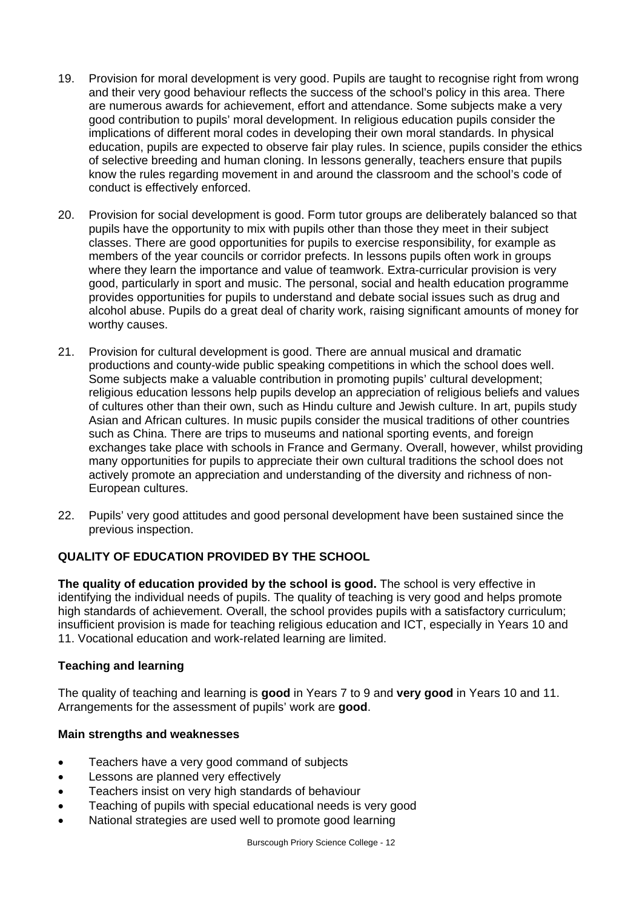- 19. Provision for moral development is very good. Pupils are taught to recognise right from wrong and their very good behaviour reflects the success of the school's policy in this area. There are numerous awards for achievement, effort and attendance. Some subjects make a very good contribution to pupils' moral development. In religious education pupils consider the implications of different moral codes in developing their own moral standards. In physical education, pupils are expected to observe fair play rules. In science, pupils consider the ethics of selective breeding and human cloning. In lessons generally, teachers ensure that pupils know the rules regarding movement in and around the classroom and the school's code of conduct is effectively enforced.
- 20. Provision for social development is good. Form tutor groups are deliberately balanced so that pupils have the opportunity to mix with pupils other than those they meet in their subject classes. There are good opportunities for pupils to exercise responsibility, for example as members of the year councils or corridor prefects. In lessons pupils often work in groups where they learn the importance and value of teamwork. Extra-curricular provision is very good, particularly in sport and music. The personal, social and health education programme provides opportunities for pupils to understand and debate social issues such as drug and alcohol abuse. Pupils do a great deal of charity work, raising significant amounts of money for worthy causes.
- 21. Provision for cultural development is good. There are annual musical and dramatic productions and county-wide public speaking competitions in which the school does well. Some subjects make a valuable contribution in promoting pupils' cultural development; religious education lessons help pupils develop an appreciation of religious beliefs and values of cultures other than their own, such as Hindu culture and Jewish culture. In art, pupils study Asian and African cultures. In music pupils consider the musical traditions of other countries such as China. There are trips to museums and national sporting events, and foreign exchanges take place with schools in France and Germany. Overall, however, whilst providing many opportunities for pupils to appreciate their own cultural traditions the school does not actively promote an appreciation and understanding of the diversity and richness of non-European cultures.
- 22. Pupils' very good attitudes and good personal development have been sustained since the previous inspection.

# **QUALITY OF EDUCATION PROVIDED BY THE SCHOOL**

**The quality of education provided by the school is good.** The school is very effective in identifying the individual needs of pupils. The quality of teaching is very good and helps promote high standards of achievement. Overall, the school provides pupils with a satisfactory curriculum; insufficient provision is made for teaching religious education and ICT, especially in Years 10 and 11. Vocational education and work-related learning are limited.

# **Teaching and learning**

The quality of teaching and learning is **good** in Years 7 to 9 and **very good** in Years 10 and 11. Arrangements for the assessment of pupils' work are **good**.

# **Main strengths and weaknesses**

- Teachers have a very good command of subjects
- Lessons are planned very effectively
- Teachers insist on very high standards of behaviour
- Teaching of pupils with special educational needs is very good
- National strategies are used well to promote good learning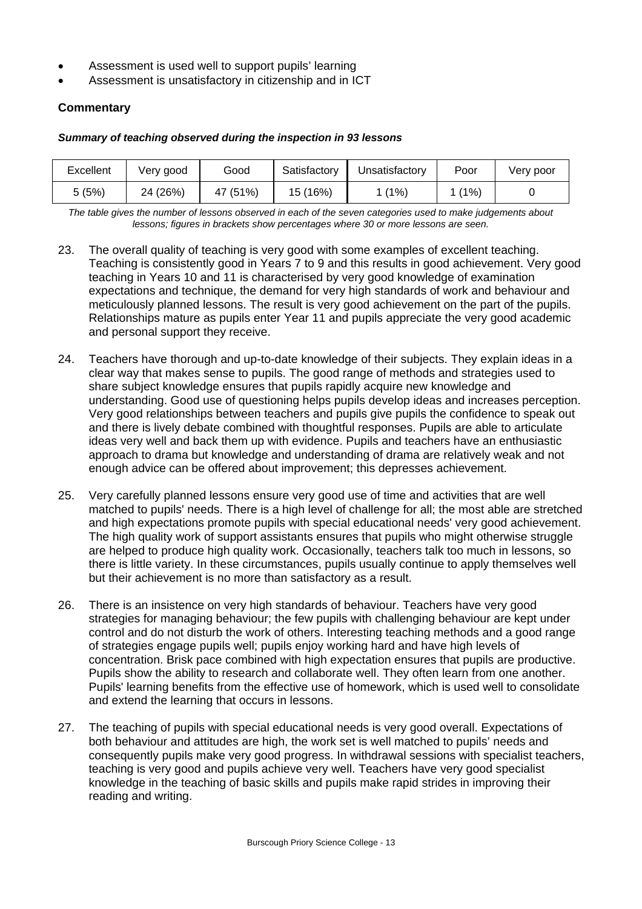- Assessment is used well to support pupils' learning
- Assessment is unsatisfactory in citizenship and in ICT

# **Commentary**

#### *Summary of teaching observed during the inspection in 93 lessons*

| Excellent | Very good | Good     | Satisfactory | Jnsatisfactory | Poor | Very poor |
|-----------|-----------|----------|--------------|----------------|------|-----------|
| 5 (5%)    | 24 (26%)  | 47 (51%) | 15 (16%)     | (1%)           | (1%) |           |

*The table gives the number of lessons observed in each of the seven categories used to make judgements about lessons; figures in brackets show percentages where 30 or more lessons are seen.* 

- 23. The overall quality of teaching is very good with some examples of excellent teaching. Teaching is consistently good in Years 7 to 9 and this results in good achievement. Very good teaching in Years 10 and 11 is characterised by very good knowledge of examination expectations and technique, the demand for very high standards of work and behaviour and meticulously planned lessons. The result is very good achievement on the part of the pupils. Relationships mature as pupils enter Year 11 and pupils appreciate the very good academic and personal support they receive.
- 24. Teachers have thorough and up-to-date knowledge of their subjects. They explain ideas in a clear way that makes sense to pupils. The good range of methods and strategies used to share subject knowledge ensures that pupils rapidly acquire new knowledge and understanding. Good use of questioning helps pupils develop ideas and increases perception. Very good relationships between teachers and pupils give pupils the confidence to speak out and there is lively debate combined with thoughtful responses. Pupils are able to articulate ideas very well and back them up with evidence. Pupils and teachers have an enthusiastic approach to drama but knowledge and understanding of drama are relatively weak and not enough advice can be offered about improvement; this depresses achievement.
- 25. Very carefully planned lessons ensure very good use of time and activities that are well matched to pupils' needs. There is a high level of challenge for all; the most able are stretched and high expectations promote pupils with special educational needs' very good achievement. The high quality work of support assistants ensures that pupils who might otherwise struggle are helped to produce high quality work. Occasionally, teachers talk too much in lessons, so there is little variety. In these circumstances, pupils usually continue to apply themselves well but their achievement is no more than satisfactory as a result.
- 26. There is an insistence on very high standards of behaviour. Teachers have very good strategies for managing behaviour; the few pupils with challenging behaviour are kept under control and do not disturb the work of others. Interesting teaching methods and a good range of strategies engage pupils well; pupils enjoy working hard and have high levels of concentration. Brisk pace combined with high expectation ensures that pupils are productive. Pupils show the ability to research and collaborate well. They often learn from one another. Pupils' learning benefits from the effective use of homework, which is used well to consolidate and extend the learning that occurs in lessons.
- 27. The teaching of pupils with special educational needs is very good overall. Expectations of both behaviour and attitudes are high, the work set is well matched to pupils' needs and consequently pupils make very good progress. In withdrawal sessions with specialist teachers, teaching is very good and pupils achieve very well. Teachers have very good specialist knowledge in the teaching of basic skills and pupils make rapid strides in improving their reading and writing.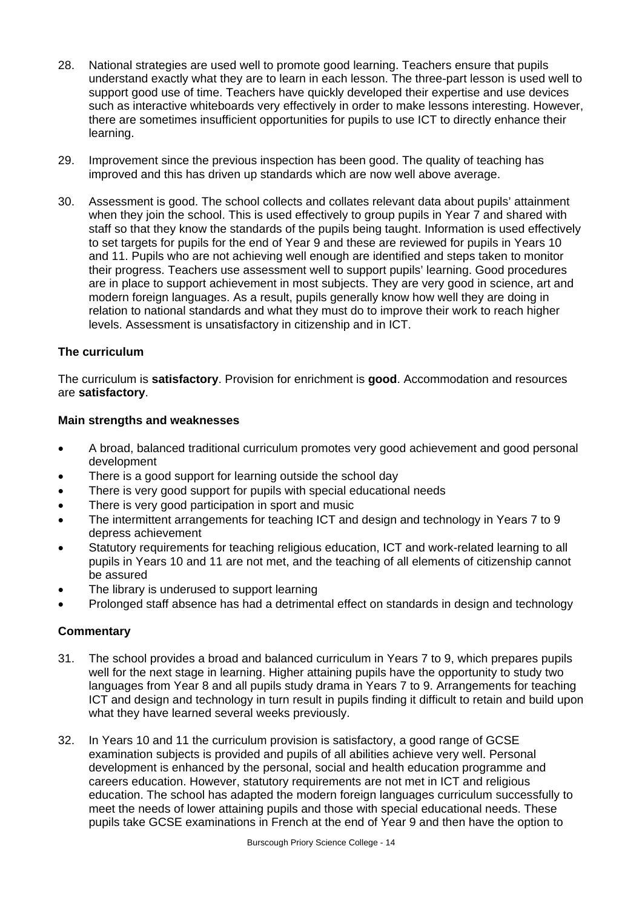- 28. National strategies are used well to promote good learning. Teachers ensure that pupils understand exactly what they are to learn in each lesson. The three-part lesson is used well to support good use of time. Teachers have quickly developed their expertise and use devices such as interactive whiteboards very effectively in order to make lessons interesting. However, there are sometimes insufficient opportunities for pupils to use ICT to directly enhance their learning.
- 29. Improvement since the previous inspection has been good. The quality of teaching has improved and this has driven up standards which are now well above average.
- 30. Assessment is good. The school collects and collates relevant data about pupils' attainment when they join the school. This is used effectively to group pupils in Year 7 and shared with staff so that they know the standards of the pupils being taught. Information is used effectively to set targets for pupils for the end of Year 9 and these are reviewed for pupils in Years 10 and 11. Pupils who are not achieving well enough are identified and steps taken to monitor their progress. Teachers use assessment well to support pupils' learning. Good procedures are in place to support achievement in most subjects. They are very good in science, art and modern foreign languages. As a result, pupils generally know how well they are doing in relation to national standards and what they must do to improve their work to reach higher levels. Assessment is unsatisfactory in citizenship and in ICT.

# **The curriculum**

The curriculum is **satisfactory**. Provision for enrichment is **good**. Accommodation and resources are **satisfactory**.

#### **Main strengths and weaknesses**

- A broad, balanced traditional curriculum promotes very good achievement and good personal development
- There is a good support for learning outside the school day
- There is very good support for pupils with special educational needs
- There is very good participation in sport and music
- The intermittent arrangements for teaching ICT and design and technology in Years 7 to 9 depress achievement
- Statutory requirements for teaching religious education, ICT and work-related learning to all pupils in Years 10 and 11 are not met, and the teaching of all elements of citizenship cannot be assured
- The library is underused to support learning
- Prolonged staff absence has had a detrimental effect on standards in design and technology

- 31. The school provides a broad and balanced curriculum in Years 7 to 9, which prepares pupils well for the next stage in learning. Higher attaining pupils have the opportunity to study two languages from Year 8 and all pupils study drama in Years 7 to 9. Arrangements for teaching ICT and design and technology in turn result in pupils finding it difficult to retain and build upon what they have learned several weeks previously.
- 32. In Years 10 and 11 the curriculum provision is satisfactory, a good range of GCSE examination subjects is provided and pupils of all abilities achieve very well. Personal development is enhanced by the personal, social and health education programme and careers education. However, statutory requirements are not met in ICT and religious education. The school has adapted the modern foreign languages curriculum successfully to meet the needs of lower attaining pupils and those with special educational needs. These pupils take GCSE examinations in French at the end of Year 9 and then have the option to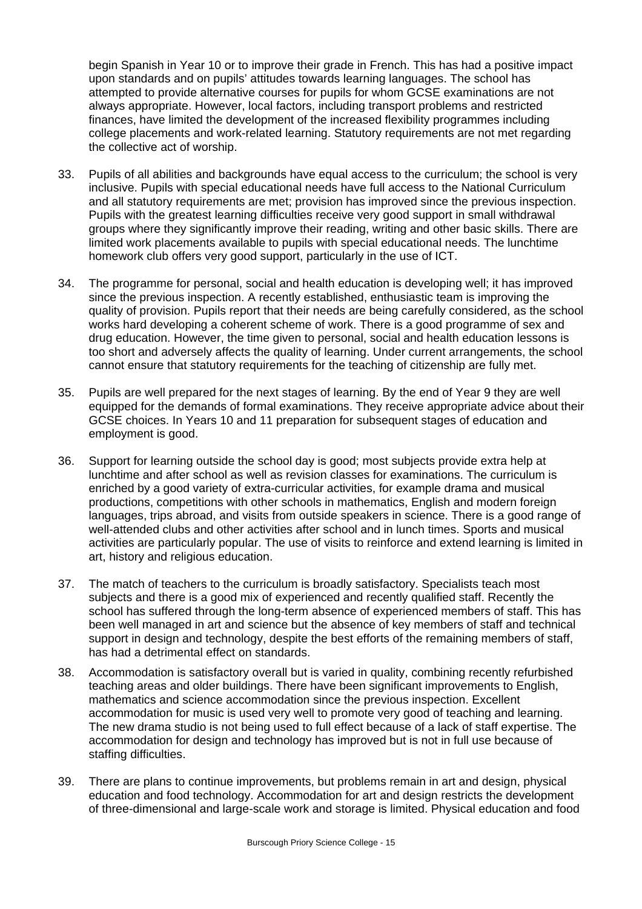begin Spanish in Year 10 or to improve their grade in French. This has had a positive impact upon standards and on pupils' attitudes towards learning languages. The school has attempted to provide alternative courses for pupils for whom GCSE examinations are not always appropriate. However, local factors, including transport problems and restricted finances, have limited the development of the increased flexibility programmes including college placements and work-related learning. Statutory requirements are not met regarding the collective act of worship.

- 33. Pupils of all abilities and backgrounds have equal access to the curriculum; the school is very inclusive. Pupils with special educational needs have full access to the National Curriculum and all statutory requirements are met; provision has improved since the previous inspection. Pupils with the greatest learning difficulties receive very good support in small withdrawal groups where they significantly improve their reading, writing and other basic skills. There are limited work placements available to pupils with special educational needs. The lunchtime homework club offers very good support, particularly in the use of ICT.
- 34. The programme for personal, social and health education is developing well; it has improved since the previous inspection. A recently established, enthusiastic team is improving the quality of provision. Pupils report that their needs are being carefully considered, as the school works hard developing a coherent scheme of work. There is a good programme of sex and drug education. However, the time given to personal, social and health education lessons is too short and adversely affects the quality of learning. Under current arrangements, the school cannot ensure that statutory requirements for the teaching of citizenship are fully met.
- 35. Pupils are well prepared for the next stages of learning. By the end of Year 9 they are well equipped for the demands of formal examinations. They receive appropriate advice about their GCSE choices. In Years 10 and 11 preparation for subsequent stages of education and employment is good.
- 36. Support for learning outside the school day is good; most subjects provide extra help at lunchtime and after school as well as revision classes for examinations. The curriculum is enriched by a good variety of extra-curricular activities, for example drama and musical productions, competitions with other schools in mathematics, English and modern foreign languages, trips abroad, and visits from outside speakers in science. There is a good range of well-attended clubs and other activities after school and in lunch times. Sports and musical activities are particularly popular. The use of visits to reinforce and extend learning is limited in art, history and religious education.
- 37. The match of teachers to the curriculum is broadly satisfactory. Specialists teach most subjects and there is a good mix of experienced and recently qualified staff. Recently the school has suffered through the long-term absence of experienced members of staff. This has been well managed in art and science but the absence of key members of staff and technical support in design and technology, despite the best efforts of the remaining members of staff, has had a detrimental effect on standards.
- 38. Accommodation is satisfactory overall but is varied in quality, combining recently refurbished teaching areas and older buildings. There have been significant improvements to English, mathematics and science accommodation since the previous inspection. Excellent accommodation for music is used very well to promote very good of teaching and learning. The new drama studio is not being used to full effect because of a lack of staff expertise. The accommodation for design and technology has improved but is not in full use because of staffing difficulties.
- 39. There are plans to continue improvements, but problems remain in art and design, physical education and food technology. Accommodation for art and design restricts the development of three-dimensional and large-scale work and storage is limited. Physical education and food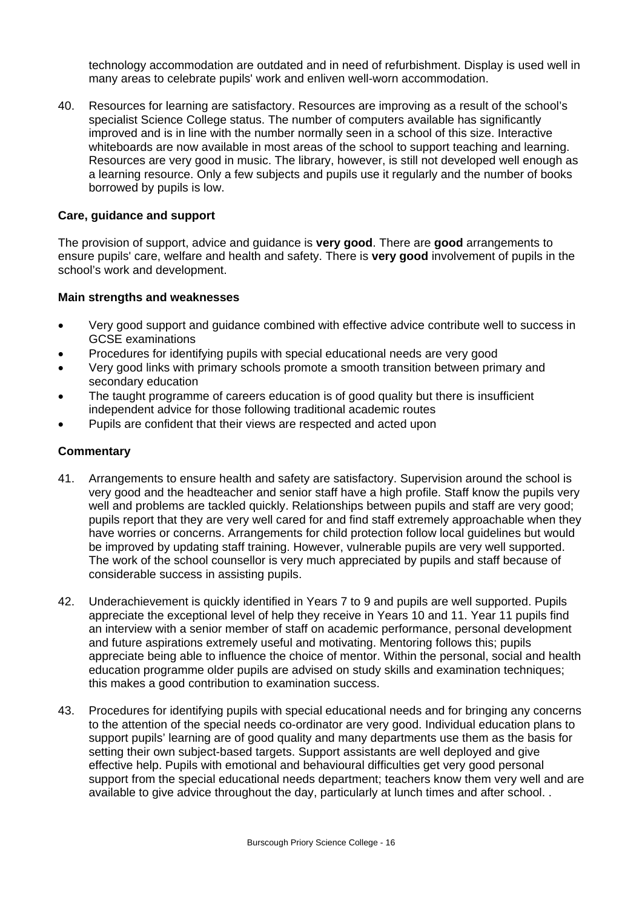technology accommodation are outdated and in need of refurbishment. Display is used well in many areas to celebrate pupils' work and enliven well-worn accommodation.

40. Resources for learning are satisfactory. Resources are improving as a result of the school's specialist Science College status. The number of computers available has significantly improved and is in line with the number normally seen in a school of this size. Interactive whiteboards are now available in most areas of the school to support teaching and learning. Resources are very good in music. The library, however, is still not developed well enough as a learning resource. Only a few subjects and pupils use it regularly and the number of books borrowed by pupils is low.

# **Care, guidance and support**

The provision of support, advice and guidance is **very good**. There are **good** arrangements to ensure pupils' care, welfare and health and safety. There is **very good** involvement of pupils in the school's work and development.

# **Main strengths and weaknesses**

- Very good support and guidance combined with effective advice contribute well to success in GCSE examinations
- Procedures for identifying pupils with special educational needs are very good
- Very good links with primary schools promote a smooth transition between primary and secondary education
- The taught programme of careers education is of good quality but there is insufficient independent advice for those following traditional academic routes
- Pupils are confident that their views are respected and acted upon

- 41. Arrangements to ensure health and safety are satisfactory. Supervision around the school is very good and the headteacher and senior staff have a high profile. Staff know the pupils very well and problems are tackled quickly. Relationships between pupils and staff are very good; pupils report that they are very well cared for and find staff extremely approachable when they have worries or concerns. Arrangements for child protection follow local guidelines but would be improved by updating staff training. However, vulnerable pupils are very well supported. The work of the school counsellor is very much appreciated by pupils and staff because of considerable success in assisting pupils.
- 42. Underachievement is quickly identified in Years 7 to 9 and pupils are well supported. Pupils appreciate the exceptional level of help they receive in Years 10 and 11. Year 11 pupils find an interview with a senior member of staff on academic performance, personal development and future aspirations extremely useful and motivating. Mentoring follows this; pupils appreciate being able to influence the choice of mentor. Within the personal, social and health education programme older pupils are advised on study skills and examination techniques; this makes a good contribution to examination success.
- 43. Procedures for identifying pupils with special educational needs and for bringing any concerns to the attention of the special needs co-ordinator are very good. Individual education plans to support pupils' learning are of good quality and many departments use them as the basis for setting their own subject-based targets. Support assistants are well deployed and give effective help. Pupils with emotional and behavioural difficulties get very good personal support from the special educational needs department; teachers know them very well and are available to give advice throughout the day, particularly at lunch times and after school. .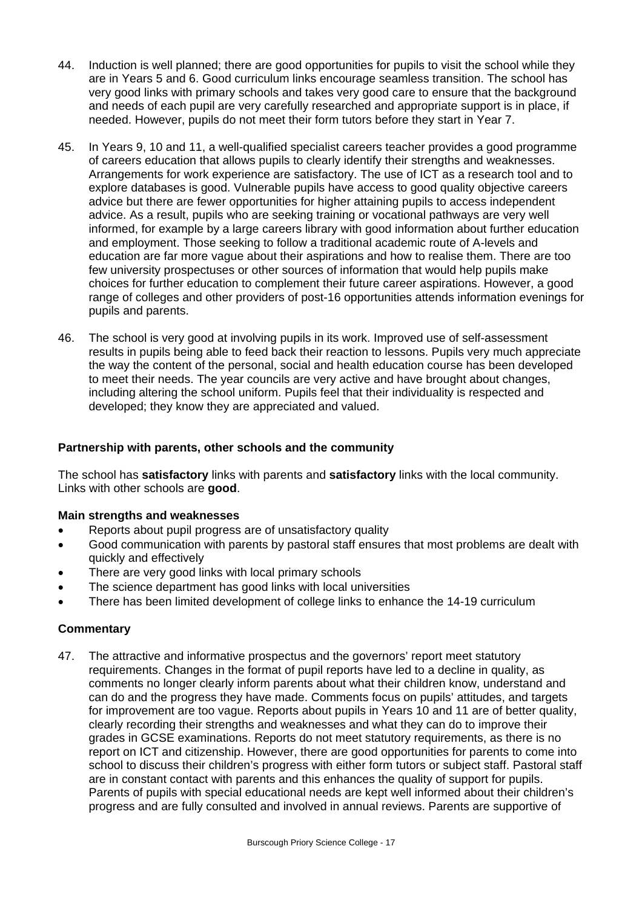- 44. Induction is well planned; there are good opportunities for pupils to visit the school while they are in Years 5 and 6. Good curriculum links encourage seamless transition. The school has very good links with primary schools and takes very good care to ensure that the background and needs of each pupil are very carefully researched and appropriate support is in place, if needed. However, pupils do not meet their form tutors before they start in Year 7.
- 45. In Years 9, 10 and 11, a well-qualified specialist careers teacher provides a good programme of careers education that allows pupils to clearly identify their strengths and weaknesses. Arrangements for work experience are satisfactory. The use of ICT as a research tool and to explore databases is good. Vulnerable pupils have access to good quality objective careers advice but there are fewer opportunities for higher attaining pupils to access independent advice. As a result, pupils who are seeking training or vocational pathways are very well informed, for example by a large careers library with good information about further education and employment. Those seeking to follow a traditional academic route of A-levels and education are far more vague about their aspirations and how to realise them. There are too few university prospectuses or other sources of information that would help pupils make choices for further education to complement their future career aspirations. However, a good range of colleges and other providers of post-16 opportunities attends information evenings for pupils and parents.
- 46. The school is very good at involving pupils in its work. Improved use of self-assessment results in pupils being able to feed back their reaction to lessons. Pupils very much appreciate the way the content of the personal, social and health education course has been developed to meet their needs. The year councils are very active and have brought about changes, including altering the school uniform. Pupils feel that their individuality is respected and developed; they know they are appreciated and valued.

# **Partnership with parents, other schools and the community**

The school has **satisfactory** links with parents and **satisfactory** links with the local community. Links with other schools are **good**.

# **Main strengths and weaknesses**

- Reports about pupil progress are of unsatisfactory quality
- Good communication with parents by pastoral staff ensures that most problems are dealt with quickly and effectively
- There are very good links with local primary schools
- The science department has good links with local universities
- There has been limited development of college links to enhance the 14-19 curriculum

# **Commentary**

47. The attractive and informative prospectus and the governors' report meet statutory requirements. Changes in the format of pupil reports have led to a decline in quality, as comments no longer clearly inform parents about what their children know, understand and can do and the progress they have made. Comments focus on pupils' attitudes, and targets for improvement are too vague. Reports about pupils in Years 10 and 11 are of better quality, clearly recording their strengths and weaknesses and what they can do to improve their grades in GCSE examinations. Reports do not meet statutory requirements, as there is no report on ICT and citizenship. However, there are good opportunities for parents to come into school to discuss their children's progress with either form tutors or subject staff. Pastoral staff are in constant contact with parents and this enhances the quality of support for pupils. Parents of pupils with special educational needs are kept well informed about their children's progress and are fully consulted and involved in annual reviews. Parents are supportive of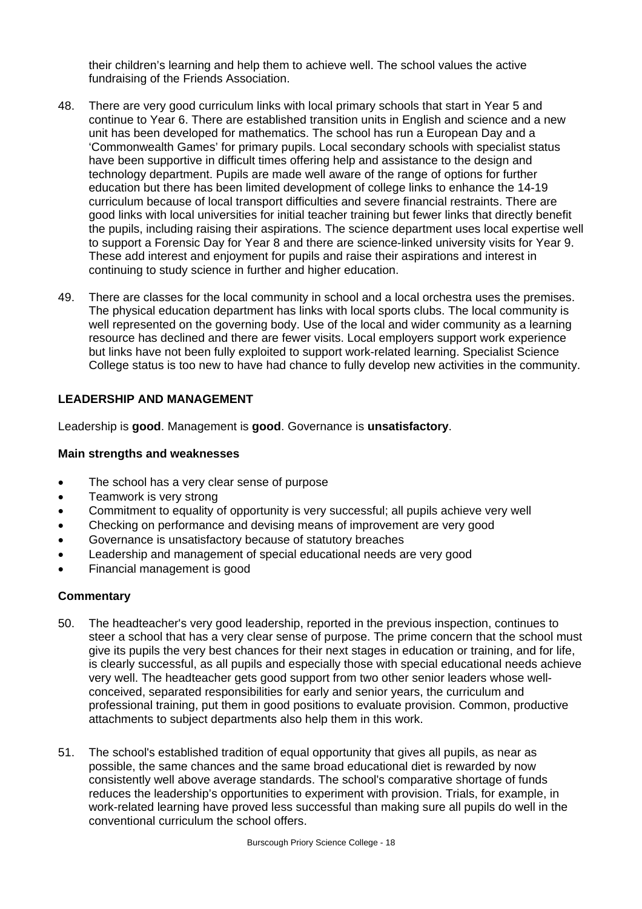their children's learning and help them to achieve well. The school values the active fundraising of the Friends Association.

- 48. There are very good curriculum links with local primary schools that start in Year 5 and continue to Year 6. There are established transition units in English and science and a new unit has been developed for mathematics. The school has run a European Day and a 'Commonwealth Games' for primary pupils. Local secondary schools with specialist status have been supportive in difficult times offering help and assistance to the design and technology department. Pupils are made well aware of the range of options for further education but there has been limited development of college links to enhance the 14-19 curriculum because of local transport difficulties and severe financial restraints. There are good links with local universities for initial teacher training but fewer links that directly benefit the pupils, including raising their aspirations. The science department uses local expertise well to support a Forensic Day for Year 8 and there are science-linked university visits for Year 9. These add interest and enjoyment for pupils and raise their aspirations and interest in continuing to study science in further and higher education.
- 49. There are classes for the local community in school and a local orchestra uses the premises. The physical education department has links with local sports clubs. The local community is well represented on the governing body. Use of the local and wider community as a learning resource has declined and there are fewer visits. Local employers support work experience but links have not been fully exploited to support work-related learning. Specialist Science College status is too new to have had chance to fully develop new activities in the community.

# **LEADERSHIP AND MANAGEMENT**

Leadership is **good**. Management is **good**. Governance is **unsatisfactory**.

#### **Main strengths and weaknesses**

- The school has a very clear sense of purpose
- Teamwork is very strong
- Commitment to equality of opportunity is very successful; all pupils achieve very well
- Checking on performance and devising means of improvement are very good
- Governance is unsatisfactory because of statutory breaches
- Leadership and management of special educational needs are very good
- Financial management is good

- 50. The headteacher's very good leadership, reported in the previous inspection, continues to steer a school that has a very clear sense of purpose. The prime concern that the school must give its pupils the very best chances for their next stages in education or training, and for life, is clearly successful, as all pupils and especially those with special educational needs achieve very well. The headteacher gets good support from two other senior leaders whose wellconceived, separated responsibilities for early and senior years, the curriculum and professional training, put them in good positions to evaluate provision. Common, productive attachments to subject departments also help them in this work.
- 51. The school's established tradition of equal opportunity that gives all pupils, as near as possible, the same chances and the same broad educational diet is rewarded by now consistently well above average standards. The school's comparative shortage of funds reduces the leadership's opportunities to experiment with provision. Trials, for example, in work-related learning have proved less successful than making sure all pupils do well in the conventional curriculum the school offers.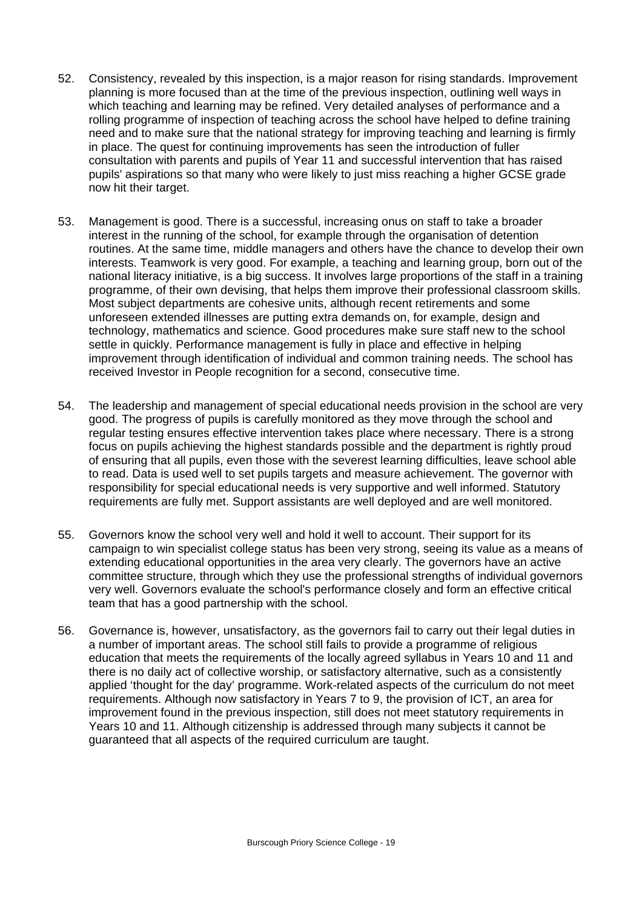- 52. Consistency, revealed by this inspection, is a major reason for rising standards. Improvement planning is more focused than at the time of the previous inspection, outlining well ways in which teaching and learning may be refined. Very detailed analyses of performance and a rolling programme of inspection of teaching across the school have helped to define training need and to make sure that the national strategy for improving teaching and learning is firmly in place. The quest for continuing improvements has seen the introduction of fuller consultation with parents and pupils of Year 11 and successful intervention that has raised pupils' aspirations so that many who were likely to just miss reaching a higher GCSE grade now hit their target.
- 53. Management is good. There is a successful, increasing onus on staff to take a broader interest in the running of the school, for example through the organisation of detention routines. At the same time, middle managers and others have the chance to develop their own interests. Teamwork is very good. For example, a teaching and learning group, born out of the national literacy initiative, is a big success. It involves large proportions of the staff in a training programme, of their own devising, that helps them improve their professional classroom skills. Most subject departments are cohesive units, although recent retirements and some unforeseen extended illnesses are putting extra demands on, for example, design and technology, mathematics and science. Good procedures make sure staff new to the school settle in quickly. Performance management is fully in place and effective in helping improvement through identification of individual and common training needs. The school has received Investor in People recognition for a second, consecutive time.
- 54. The leadership and management of special educational needs provision in the school are very good. The progress of pupils is carefully monitored as they move through the school and regular testing ensures effective intervention takes place where necessary. There is a strong focus on pupils achieving the highest standards possible and the department is rightly proud of ensuring that all pupils, even those with the severest learning difficulties, leave school able to read. Data is used well to set pupils targets and measure achievement. The governor with responsibility for special educational needs is very supportive and well informed. Statutory requirements are fully met. Support assistants are well deployed and are well monitored.
- 55. Governors know the school very well and hold it well to account. Their support for its campaign to win specialist college status has been very strong, seeing its value as a means of extending educational opportunities in the area very clearly. The governors have an active committee structure, through which they use the professional strengths of individual governors very well. Governors evaluate the school's performance closely and form an effective critical team that has a good partnership with the school.
- 56. Governance is, however, unsatisfactory, as the governors fail to carry out their legal duties in a number of important areas. The school still fails to provide a programme of religious education that meets the requirements of the locally agreed syllabus in Years 10 and 11 and there is no daily act of collective worship, or satisfactory alternative, such as a consistently applied 'thought for the day' programme. Work-related aspects of the curriculum do not meet requirements. Although now satisfactory in Years 7 to 9, the provision of ICT, an area for improvement found in the previous inspection, still does not meet statutory requirements in Years 10 and 11. Although citizenship is addressed through many subjects it cannot be guaranteed that all aspects of the required curriculum are taught.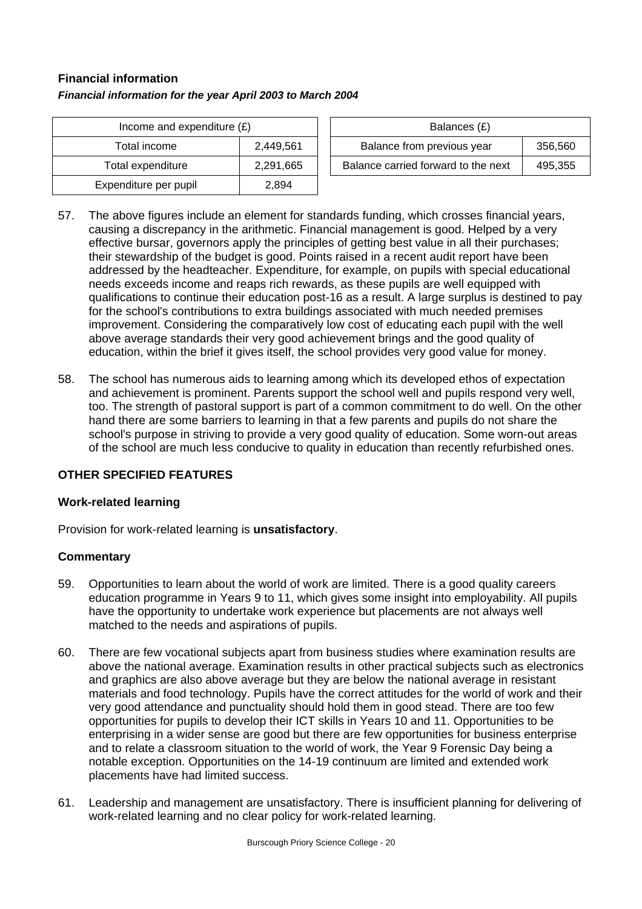# **Financial information** *Financial information for the year April 2003 to March 2004*

| Income and expenditure $(E)$ | Balances (£) |                                  |
|------------------------------|--------------|----------------------------------|
| Total income                 | 2.449.561    | Balance from previous year       |
| Total expenditure            | 2,291,665    | Balance carried forward to the r |
| Expenditure per pupil        | 2,894        |                                  |

| Income and expenditure $(E)$ |           | Balances (£)                        |         |
|------------------------------|-----------|-------------------------------------|---------|
| Total income                 | 2,449,561 | Balance from previous year          | 356,560 |
| Total expenditure            | 2,291,665 | Balance carried forward to the next | 495.355 |

- 57. The above figures include an element for standards funding, which crosses financial years, causing a discrepancy in the arithmetic. Financial management is good. Helped by a very effective bursar, governors apply the principles of getting best value in all their purchases; their stewardship of the budget is good. Points raised in a recent audit report have been addressed by the headteacher. Expenditure, for example, on pupils with special educational needs exceeds income and reaps rich rewards, as these pupils are well equipped with qualifications to continue their education post-16 as a result. A large surplus is destined to pay for the school's contributions to extra buildings associated with much needed premises improvement. Considering the comparatively low cost of educating each pupil with the well above average standards their very good achievement brings and the good quality of education, within the brief it gives itself, the school provides very good value for money.
- 58. The school has numerous aids to learning among which its developed ethos of expectation and achievement is prominent. Parents support the school well and pupils respond very well, too. The strength of pastoral support is part of a common commitment to do well. On the other hand there are some barriers to learning in that a few parents and pupils do not share the school's purpose in striving to provide a very good quality of education. Some worn-out areas of the school are much less conducive to quality in education than recently refurbished ones.

# **OTHER SPECIFIED FEATURES**

# **Work-related learning**

Provision for work-related learning is **unsatisfactory**.

- 59. Opportunities to learn about the world of work are limited. There is a good quality careers education programme in Years 9 to 11, which gives some insight into employability. All pupils have the opportunity to undertake work experience but placements are not always well matched to the needs and aspirations of pupils.
- 60. There are few vocational subjects apart from business studies where examination results are above the national average. Examination results in other practical subjects such as electronics and graphics are also above average but they are below the national average in resistant materials and food technology. Pupils have the correct attitudes for the world of work and their very good attendance and punctuality should hold them in good stead. There are too few opportunities for pupils to develop their ICT skills in Years 10 and 11. Opportunities to be enterprising in a wider sense are good but there are few opportunities for business enterprise and to relate a classroom situation to the world of work, the Year 9 Forensic Day being a notable exception. Opportunities on the 14-19 continuum are limited and extended work placements have had limited success.
- 61. Leadership and management are unsatisfactory. There is insufficient planning for delivering of work-related learning and no clear policy for work-related learning.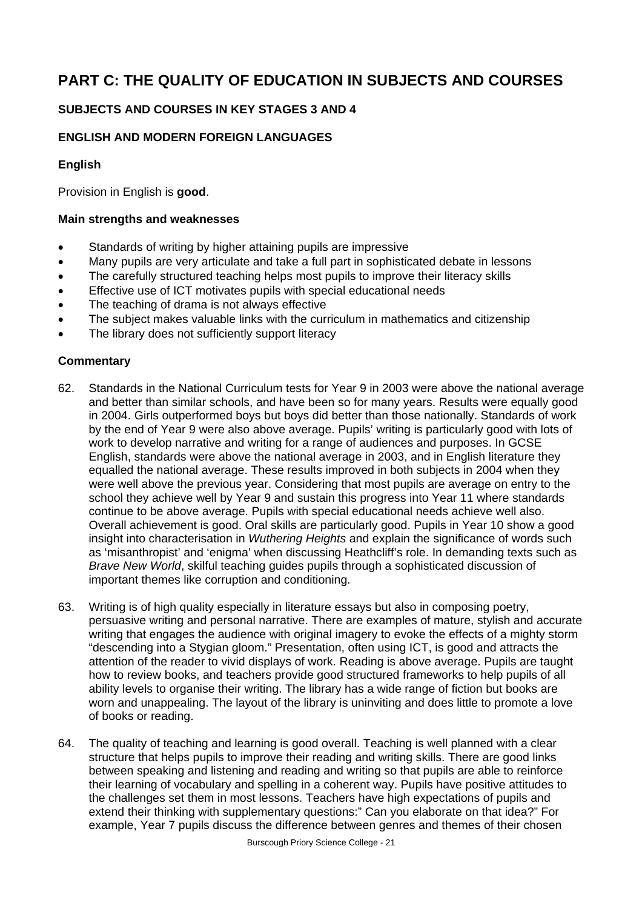# **PART C: THE QUALITY OF EDUCATION IN SUBJECTS AND COURSES**

# **SUBJECTS AND COURSES IN KEY STAGES 3 AND 4**

# **ENGLISH AND MODERN FOREIGN LANGUAGES**

# **English**

Provision in English is **good**.

# **Main strengths and weaknesses**

- Standards of writing by higher attaining pupils are impressive
- Many pupils are very articulate and take a full part in sophisticated debate in lessons
- The carefully structured teaching helps most pupils to improve their literacy skills
- Effective use of ICT motivates pupils with special educational needs
- The teaching of drama is not always effective
- The subject makes valuable links with the curriculum in mathematics and citizenship
- The library does not sufficiently support literacy

- 62. Standards in the National Curriculum tests for Year 9 in 2003 were above the national average and better than similar schools, and have been so for many years. Results were equally good in 2004. Girls outperformed boys but boys did better than those nationally. Standards of work by the end of Year 9 were also above average. Pupils' writing is particularly good with lots of work to develop narrative and writing for a range of audiences and purposes. In GCSE English, standards were above the national average in 2003, and in English literature they equalled the national average. These results improved in both subjects in 2004 when they were well above the previous year. Considering that most pupils are average on entry to the school they achieve well by Year 9 and sustain this progress into Year 11 where standards continue to be above average. Pupils with special educational needs achieve well also. Overall achievement is good. Oral skills are particularly good. Pupils in Year 10 show a good insight into characterisation in *Wuthering Heights* and explain the significance of words such as 'misanthropist' and 'enigma' when discussing Heathcliff's role. In demanding texts such as *Brave New World*, skilful teaching guides pupils through a sophisticated discussion of important themes like corruption and conditioning.
- 63. Writing is of high quality especially in literature essays but also in composing poetry, persuasive writing and personal narrative. There are examples of mature, stylish and accurate writing that engages the audience with original imagery to evoke the effects of a mighty storm "descending into a Stygian gloom." Presentation, often using ICT, is good and attracts the attention of the reader to vivid displays of work. Reading is above average. Pupils are taught how to review books, and teachers provide good structured frameworks to help pupils of all ability levels to organise their writing. The library has a wide range of fiction but books are worn and unappealing. The layout of the library is uninviting and does little to promote a love of books or reading.
- 64. The quality of teaching and learning is good overall. Teaching is well planned with a clear structure that helps pupils to improve their reading and writing skills. There are good links between speaking and listening and reading and writing so that pupils are able to reinforce their learning of vocabulary and spelling in a coherent way. Pupils have positive attitudes to the challenges set them in most lessons. Teachers have high expectations of pupils and extend their thinking with supplementary questions:" Can you elaborate on that idea?" For example, Year 7 pupils discuss the difference between genres and themes of their chosen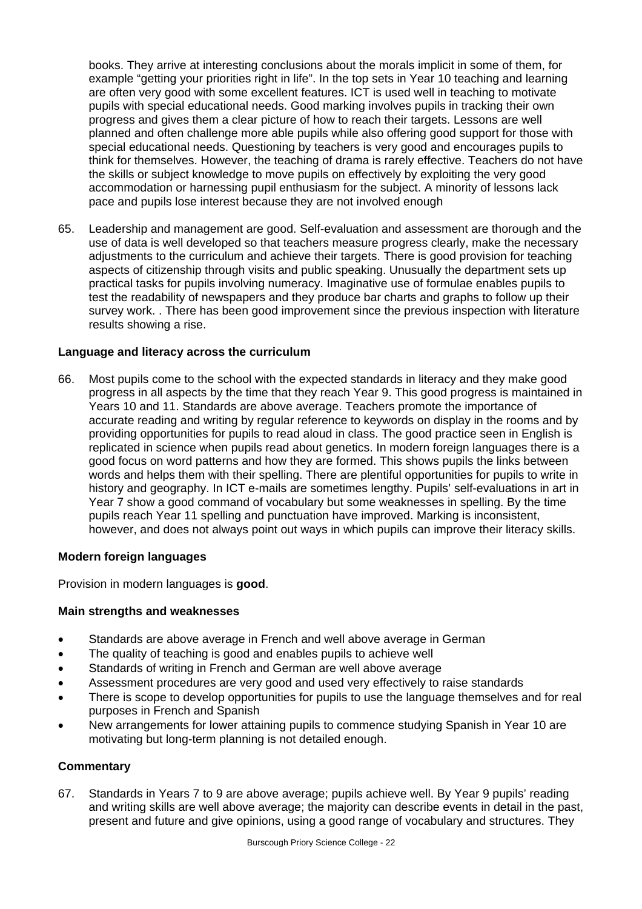books. They arrive at interesting conclusions about the morals implicit in some of them, for example "getting your priorities right in life". In the top sets in Year 10 teaching and learning are often very good with some excellent features. ICT is used well in teaching to motivate pupils with special educational needs. Good marking involves pupils in tracking their own progress and gives them a clear picture of how to reach their targets. Lessons are well planned and often challenge more able pupils while also offering good support for those with special educational needs. Questioning by teachers is very good and encourages pupils to think for themselves. However, the teaching of drama is rarely effective. Teachers do not have the skills or subject knowledge to move pupils on effectively by exploiting the very good accommodation or harnessing pupil enthusiasm for the subject. A minority of lessons lack pace and pupils lose interest because they are not involved enough

65. Leadership and management are good. Self-evaluation and assessment are thorough and the use of data is well developed so that teachers measure progress clearly, make the necessary adjustments to the curriculum and achieve their targets. There is good provision for teaching aspects of citizenship through visits and public speaking. Unusually the department sets up practical tasks for pupils involving numeracy. Imaginative use of formulae enables pupils to test the readability of newspapers and they produce bar charts and graphs to follow up their survey work. . There has been good improvement since the previous inspection with literature results showing a rise.

# **Language and literacy across the curriculum**

66. Most pupils come to the school with the expected standards in literacy and they make good progress in all aspects by the time that they reach Year 9. This good progress is maintained in Years 10 and 11. Standards are above average. Teachers promote the importance of accurate reading and writing by regular reference to keywords on display in the rooms and by providing opportunities for pupils to read aloud in class. The good practice seen in English is replicated in science when pupils read about genetics. In modern foreign languages there is a good focus on word patterns and how they are formed. This shows pupils the links between words and helps them with their spelling. There are plentiful opportunities for pupils to write in history and geography. In ICT e-mails are sometimes lengthy. Pupils' self-evaluations in art in Year 7 show a good command of vocabulary but some weaknesses in spelling. By the time pupils reach Year 11 spelling and punctuation have improved. Marking is inconsistent, however, and does not always point out ways in which pupils can improve their literacy skills.

# **Modern foreign languages**

Provision in modern languages is **good**.

# **Main strengths and weaknesses**

- Standards are above average in French and well above average in German
- The quality of teaching is good and enables pupils to achieve well
- Standards of writing in French and German are well above average
- Assessment procedures are very good and used very effectively to raise standards
- There is scope to develop opportunities for pupils to use the language themselves and for real purposes in French and Spanish
- New arrangements for lower attaining pupils to commence studying Spanish in Year 10 are motivating but long-term planning is not detailed enough.

# **Commentary**

67. Standards in Years 7 to 9 are above average; pupils achieve well. By Year 9 pupils' reading and writing skills are well above average; the majority can describe events in detail in the past, present and future and give opinions, using a good range of vocabulary and structures. They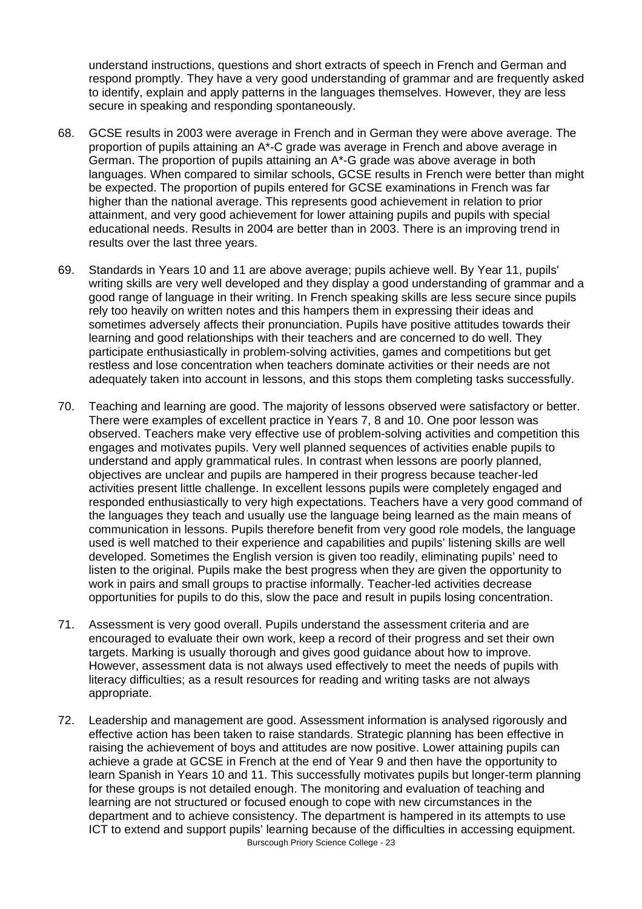understand instructions, questions and short extracts of speech in French and German and respond promptly. They have a very good understanding of grammar and are frequently asked to identify, explain and apply patterns in the languages themselves. However, they are less secure in speaking and responding spontaneously.

- 68. GCSE results in 2003 were average in French and in German they were above average. The proportion of pupils attaining an A\*-C grade was average in French and above average in German. The proportion of pupils attaining an A\*-G grade was above average in both languages. When compared to similar schools, GCSE results in French were better than might be expected. The proportion of pupils entered for GCSE examinations in French was far higher than the national average. This represents good achievement in relation to prior attainment, and very good achievement for lower attaining pupils and pupils with special educational needs. Results in 2004 are better than in 2003. There is an improving trend in results over the last three years.
- 69. Standards in Years 10 and 11 are above average; pupils achieve well. By Year 11, pupils' writing skills are very well developed and they display a good understanding of grammar and a good range of language in their writing. In French speaking skills are less secure since pupils rely too heavily on written notes and this hampers them in expressing their ideas and sometimes adversely affects their pronunciation. Pupils have positive attitudes towards their learning and good relationships with their teachers and are concerned to do well. They participate enthusiastically in problem-solving activities, games and competitions but get restless and lose concentration when teachers dominate activities or their needs are not adequately taken into account in lessons, and this stops them completing tasks successfully.
- 70. Teaching and learning are good. The majority of lessons observed were satisfactory or better. There were examples of excellent practice in Years 7, 8 and 10. One poor lesson was observed. Teachers make very effective use of problem-solving activities and competition this engages and motivates pupils. Very well planned sequences of activities enable pupils to understand and apply grammatical rules. In contrast when lessons are poorly planned, objectives are unclear and pupils are hampered in their progress because teacher-led activities present little challenge. In excellent lessons pupils were completely engaged and responded enthusiastically to very high expectations. Teachers have a very good command of the languages they teach and usually use the language being learned as the main means of communication in lessons. Pupils therefore benefit from very good role models, the language used is well matched to their experience and capabilities and pupils' listening skills are well developed. Sometimes the English version is given too readily, eliminating pupils' need to listen to the original. Pupils make the best progress when they are given the opportunity to work in pairs and small groups to practise informally. Teacher-led activities decrease opportunities for pupils to do this, slow the pace and result in pupils losing concentration.
- 71. Assessment is very good overall. Pupils understand the assessment criteria and are encouraged to evaluate their own work, keep a record of their progress and set their own targets. Marking is usually thorough and gives good guidance about how to improve. However, assessment data is not always used effectively to meet the needs of pupils with literacy difficulties; as a result resources for reading and writing tasks are not always appropriate.
- Burscough Priory Science College 23 72. Leadership and management are good. Assessment information is analysed rigorously and effective action has been taken to raise standards. Strategic planning has been effective in raising the achievement of boys and attitudes are now positive. Lower attaining pupils can achieve a grade at GCSE in French at the end of Year 9 and then have the opportunity to learn Spanish in Years 10 and 11. This successfully motivates pupils but longer-term planning for these groups is not detailed enough. The monitoring and evaluation of teaching and learning are not structured or focused enough to cope with new circumstances in the department and to achieve consistency. The department is hampered in its attempts to use ICT to extend and support pupils' learning because of the difficulties in accessing equipment.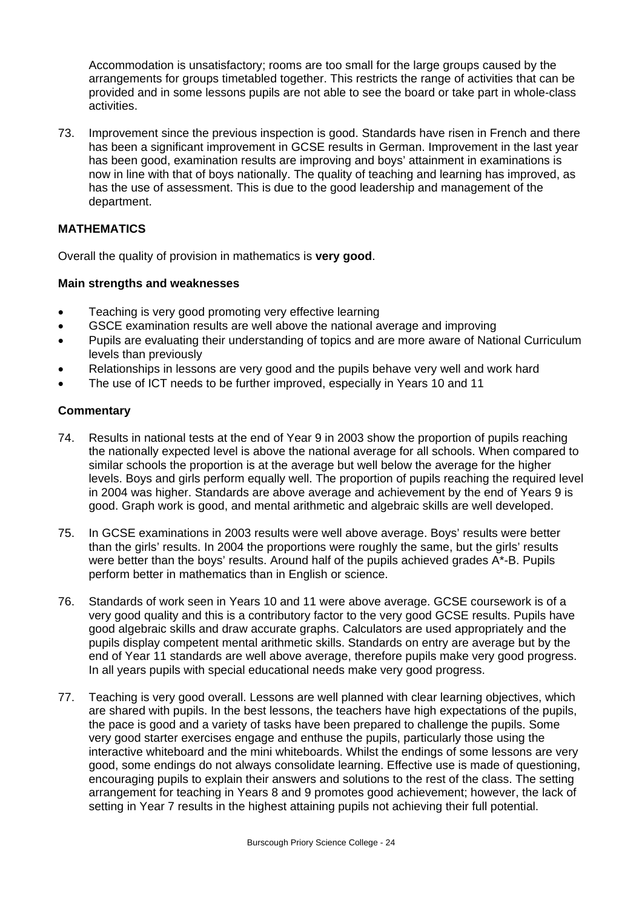Accommodation is unsatisfactory; rooms are too small for the large groups caused by the arrangements for groups timetabled together. This restricts the range of activities that can be provided and in some lessons pupils are not able to see the board or take part in whole-class activities.

73. Improvement since the previous inspection is good. Standards have risen in French and there has been a significant improvement in GCSE results in German. Improvement in the last year has been good, examination results are improving and boys' attainment in examinations is now in line with that of boys nationally. The quality of teaching and learning has improved, as has the use of assessment. This is due to the good leadership and management of the department.

# **MATHEMATICS**

Overall the quality of provision in mathematics is **very good**.

# **Main strengths and weaknesses**

- Teaching is very good promoting very effective learning
- GSCE examination results are well above the national average and improving
- Pupils are evaluating their understanding of topics and are more aware of National Curriculum levels than previously
- Relationships in lessons are very good and the pupils behave very well and work hard
- The use of ICT needs to be further improved, especially in Years 10 and 11

- 74. Results in national tests at the end of Year 9 in 2003 show the proportion of pupils reaching the nationally expected level is above the national average for all schools. When compared to similar schools the proportion is at the average but well below the average for the higher levels. Boys and girls perform equally well. The proportion of pupils reaching the required level in 2004 was higher. Standards are above average and achievement by the end of Years 9 is good. Graph work is good, and mental arithmetic and algebraic skills are well developed.
- 75. In GCSE examinations in 2003 results were well above average. Boys' results were better than the girls' results. In 2004 the proportions were roughly the same, but the girls' results were better than the boys' results. Around half of the pupils achieved grades A\*-B. Pupils perform better in mathematics than in English or science.
- 76. Standards of work seen in Years 10 and 11 were above average. GCSE coursework is of a very good quality and this is a contributory factor to the very good GCSE results. Pupils have good algebraic skills and draw accurate graphs. Calculators are used appropriately and the pupils display competent mental arithmetic skills. Standards on entry are average but by the end of Year 11 standards are well above average, therefore pupils make very good progress. In all years pupils with special educational needs make very good progress.
- 77. Teaching is very good overall. Lessons are well planned with clear learning objectives, which are shared with pupils. In the best lessons, the teachers have high expectations of the pupils, the pace is good and a variety of tasks have been prepared to challenge the pupils. Some very good starter exercises engage and enthuse the pupils, particularly those using the interactive whiteboard and the mini whiteboards. Whilst the endings of some lessons are very good, some endings do not always consolidate learning. Effective use is made of questioning, encouraging pupils to explain their answers and solutions to the rest of the class. The setting arrangement for teaching in Years 8 and 9 promotes good achievement; however, the lack of setting in Year 7 results in the highest attaining pupils not achieving their full potential.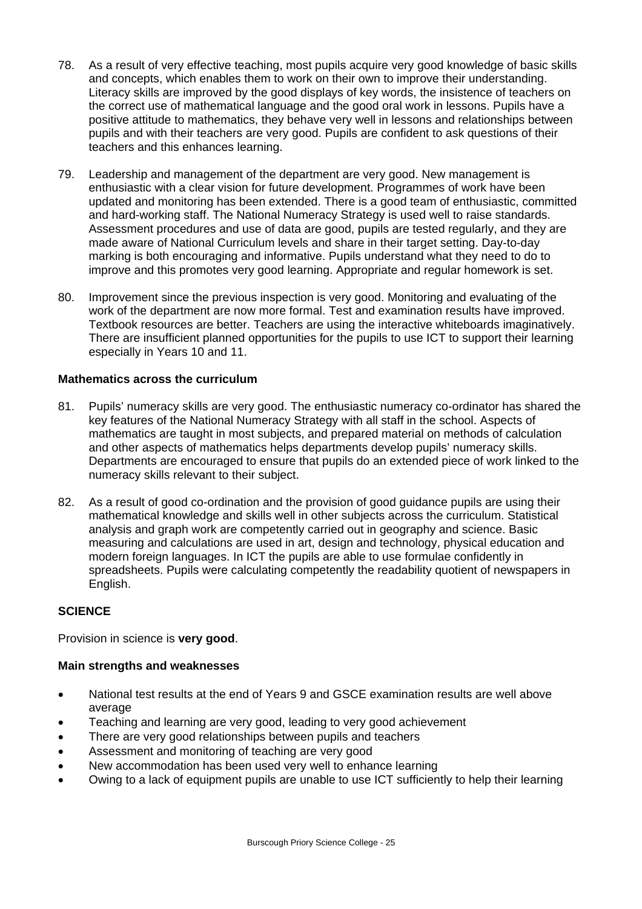- 78. As a result of very effective teaching, most pupils acquire very good knowledge of basic skills and concepts, which enables them to work on their own to improve their understanding. Literacy skills are improved by the good displays of key words, the insistence of teachers on the correct use of mathematical language and the good oral work in lessons. Pupils have a positive attitude to mathematics, they behave very well in lessons and relationships between pupils and with their teachers are very good. Pupils are confident to ask questions of their teachers and this enhances learning.
- 79. Leadership and management of the department are very good. New management is enthusiastic with a clear vision for future development. Programmes of work have been updated and monitoring has been extended. There is a good team of enthusiastic, committed and hard-working staff. The National Numeracy Strategy is used well to raise standards. Assessment procedures and use of data are good, pupils are tested regularly, and they are made aware of National Curriculum levels and share in their target setting. Day-to-day marking is both encouraging and informative. Pupils understand what they need to do to improve and this promotes very good learning. Appropriate and regular homework is set.
- 80. Improvement since the previous inspection is very good. Monitoring and evaluating of the work of the department are now more formal. Test and examination results have improved. Textbook resources are better. Teachers are using the interactive whiteboards imaginatively. There are insufficient planned opportunities for the pupils to use ICT to support their learning especially in Years 10 and 11.

# **Mathematics across the curriculum**

- 81. Pupils' numeracy skills are very good. The enthusiastic numeracy co-ordinator has shared the key features of the National Numeracy Strategy with all staff in the school. Aspects of mathematics are taught in most subjects, and prepared material on methods of calculation and other aspects of mathematics helps departments develop pupils' numeracy skills. Departments are encouraged to ensure that pupils do an extended piece of work linked to the numeracy skills relevant to their subject.
- 82. As a result of good co-ordination and the provision of good guidance pupils are using their mathematical knowledge and skills well in other subjects across the curriculum. Statistical analysis and graph work are competently carried out in geography and science. Basic measuring and calculations are used in art, design and technology, physical education and modern foreign languages. In ICT the pupils are able to use formulae confidently in spreadsheets. Pupils were calculating competently the readability quotient of newspapers in English.

# **SCIENCE**

Provision in science is **very good**.

# **Main strengths and weaknesses**

- National test results at the end of Years 9 and GSCE examination results are well above average
- Teaching and learning are very good, leading to very good achievement
- There are very good relationships between pupils and teachers
- Assessment and monitoring of teaching are very good
- New accommodation has been used very well to enhance learning
- Owing to a lack of equipment pupils are unable to use ICT sufficiently to help their learning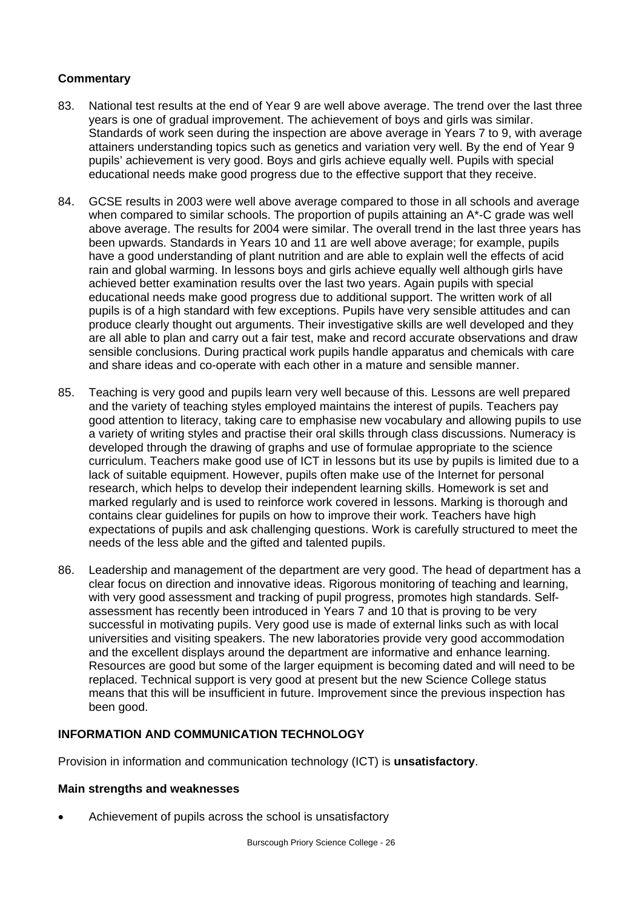# **Commentary**

- 83. National test results at the end of Year 9 are well above average. The trend over the last three years is one of gradual improvement. The achievement of boys and girls was similar. Standards of work seen during the inspection are above average in Years 7 to 9, with average attainers understanding topics such as genetics and variation very well. By the end of Year 9 pupils' achievement is very good. Boys and girls achieve equally well. Pupils with special educational needs make good progress due to the effective support that they receive.
- 84. GCSE results in 2003 were well above average compared to those in all schools and average when compared to similar schools. The proportion of pupils attaining an A\*-C grade was well above average. The results for 2004 were similar. The overall trend in the last three years has been upwards. Standards in Years 10 and 11 are well above average; for example, pupils have a good understanding of plant nutrition and are able to explain well the effects of acid rain and global warming. In lessons boys and girls achieve equally well although girls have achieved better examination results over the last two years. Again pupils with special educational needs make good progress due to additional support. The written work of all pupils is of a high standard with few exceptions. Pupils have very sensible attitudes and can produce clearly thought out arguments. Their investigative skills are well developed and they are all able to plan and carry out a fair test, make and record accurate observations and draw sensible conclusions. During practical work pupils handle apparatus and chemicals with care and share ideas and co-operate with each other in a mature and sensible manner.
- 85. Teaching is very good and pupils learn very well because of this. Lessons are well prepared and the variety of teaching styles employed maintains the interest of pupils. Teachers pay good attention to literacy, taking care to emphasise new vocabulary and allowing pupils to use a variety of writing styles and practise their oral skills through class discussions. Numeracy is developed through the drawing of graphs and use of formulae appropriate to the science curriculum. Teachers make good use of ICT in lessons but its use by pupils is limited due to a lack of suitable equipment. However, pupils often make use of the Internet for personal research, which helps to develop their independent learning skills. Homework is set and marked regularly and is used to reinforce work covered in lessons. Marking is thorough and contains clear guidelines for pupils on how to improve their work. Teachers have high expectations of pupils and ask challenging questions. Work is carefully structured to meet the needs of the less able and the gifted and talented pupils.
- 86. Leadership and management of the department are very good. The head of department has a clear focus on direction and innovative ideas. Rigorous monitoring of teaching and learning, with very good assessment and tracking of pupil progress, promotes high standards. Selfassessment has recently been introduced in Years 7 and 10 that is proving to be very successful in motivating pupils. Very good use is made of external links such as with local universities and visiting speakers. The new laboratories provide very good accommodation and the excellent displays around the department are informative and enhance learning. Resources are good but some of the larger equipment is becoming dated and will need to be replaced. Technical support is very good at present but the new Science College status means that this will be insufficient in future. Improvement since the previous inspection has been good.

# **INFORMATION AND COMMUNICATION TECHNOLOGY**

Provision in information and communication technology (ICT) is **unsatisfactory**.

# **Main strengths and weaknesses**

• Achievement of pupils across the school is unsatisfactory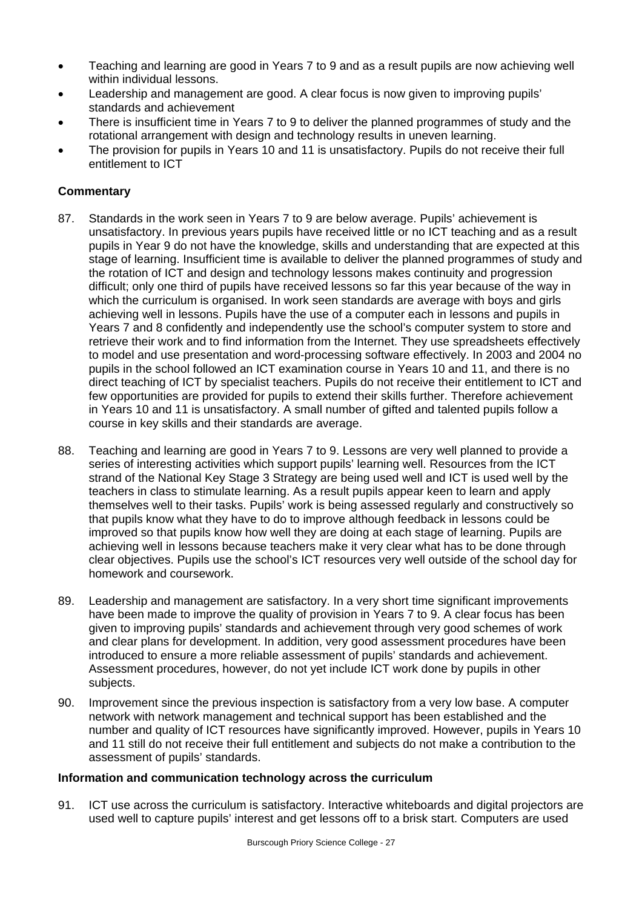- Teaching and learning are good in Years 7 to 9 and as a result pupils are now achieving well within individual lessons.
- Leadership and management are good. A clear focus is now given to improving pupils' standards and achievement
- There is insufficient time in Years 7 to 9 to deliver the planned programmes of study and the rotational arrangement with design and technology results in uneven learning.
- The provision for pupils in Years 10 and 11 is unsatisfactory. Pupils do not receive their full entitlement to ICT

# **Commentary**

- 87. Standards in the work seen in Years 7 to 9 are below average. Pupils' achievement is unsatisfactory. In previous years pupils have received little or no ICT teaching and as a result pupils in Year 9 do not have the knowledge, skills and understanding that are expected at this stage of learning. Insufficient time is available to deliver the planned programmes of study and the rotation of ICT and design and technology lessons makes continuity and progression difficult; only one third of pupils have received lessons so far this year because of the way in which the curriculum is organised. In work seen standards are average with boys and girls achieving well in lessons. Pupils have the use of a computer each in lessons and pupils in Years 7 and 8 confidently and independently use the school's computer system to store and retrieve their work and to find information from the Internet. They use spreadsheets effectively to model and use presentation and word-processing software effectively. In 2003 and 2004 no pupils in the school followed an ICT examination course in Years 10 and 11, and there is no direct teaching of ICT by specialist teachers. Pupils do not receive their entitlement to ICT and few opportunities are provided for pupils to extend their skills further. Therefore achievement in Years 10 and 11 is unsatisfactory. A small number of gifted and talented pupils follow a course in key skills and their standards are average.
- 88. Teaching and learning are good in Years 7 to 9. Lessons are very well planned to provide a series of interesting activities which support pupils' learning well. Resources from the ICT strand of the National Key Stage 3 Strategy are being used well and ICT is used well by the teachers in class to stimulate learning. As a result pupils appear keen to learn and apply themselves well to their tasks. Pupils' work is being assessed regularly and constructively so that pupils know what they have to do to improve although feedback in lessons could be improved so that pupils know how well they are doing at each stage of learning. Pupils are achieving well in lessons because teachers make it very clear what has to be done through clear objectives. Pupils use the school's ICT resources very well outside of the school day for homework and coursework.
- 89. Leadership and management are satisfactory. In a very short time significant improvements have been made to improve the quality of provision in Years 7 to 9. A clear focus has been given to improving pupils' standards and achievement through very good schemes of work and clear plans for development. In addition, very good assessment procedures have been introduced to ensure a more reliable assessment of pupils' standards and achievement. Assessment procedures, however, do not yet include ICT work done by pupils in other subjects.
- 90. Improvement since the previous inspection is satisfactory from a very low base. A computer network with network management and technical support has been established and the number and quality of ICT resources have significantly improved. However, pupils in Years 10 and 11 still do not receive their full entitlement and subjects do not make a contribution to the assessment of pupils' standards.

# **Information and communication technology across the curriculum**

91. ICT use across the curriculum is satisfactory. Interactive whiteboards and digital projectors are used well to capture pupils' interest and get lessons off to a brisk start. Computers are used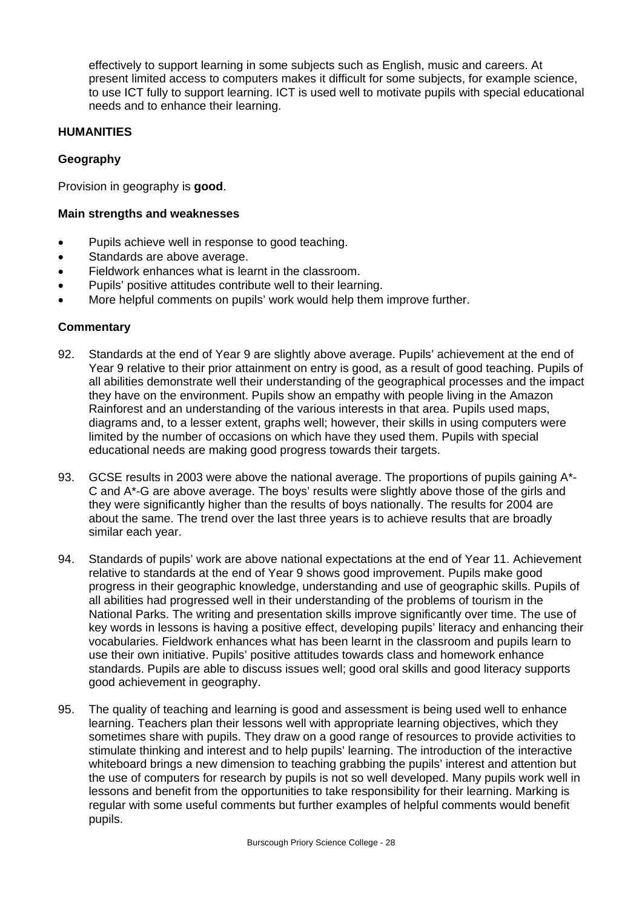effectively to support learning in some subjects such as English, music and careers. At present limited access to computers makes it difficult for some subjects, for example science, to use ICT fully to support learning. ICT is used well to motivate pupils with special educational needs and to enhance their learning.

# **HUMANITIES**

# **Geography**

Provision in geography is **good**.

# **Main strengths and weaknesses**

- Pupils achieve well in response to good teaching.
- Standards are above average.
- Fieldwork enhances what is learnt in the classroom.
- Pupils' positive attitudes contribute well to their learning.
- More helpful comments on pupils' work would help them improve further.

- 92. Standards at the end of Year 9 are slightly above average. Pupils' achievement at the end of Year 9 relative to their prior attainment on entry is good, as a result of good teaching. Pupils of all abilities demonstrate well their understanding of the geographical processes and the impact they have on the environment. Pupils show an empathy with people living in the Amazon Rainforest and an understanding of the various interests in that area. Pupils used maps, diagrams and, to a lesser extent, graphs well; however, their skills in using computers were limited by the number of occasions on which have they used them. Pupils with special educational needs are making good progress towards their targets.
- 93. GCSE results in 2003 were above the national average. The proportions of pupils gaining A\*-C and A\*-G are above average. The boys' results were slightly above those of the girls and they were significantly higher than the results of boys nationally. The results for 2004 are about the same. The trend over the last three years is to achieve results that are broadly similar each year.
- 94. Standards of pupils' work are above national expectations at the end of Year 11. Achievement relative to standards at the end of Year 9 shows good improvement. Pupils make good progress in their geographic knowledge, understanding and use of geographic skills. Pupils of all abilities had progressed well in their understanding of the problems of tourism in the National Parks. The writing and presentation skills improve significantly over time. The use of key words in lessons is having a positive effect, developing pupils' literacy and enhancing their vocabularies. Fieldwork enhances what has been learnt in the classroom and pupils learn to use their own initiative. Pupils' positive attitudes towards class and homework enhance standards. Pupils are able to discuss issues well; good oral skills and good literacy supports good achievement in geography.
- 95. The quality of teaching and learning is good and assessment is being used well to enhance learning. Teachers plan their lessons well with appropriate learning objectives, which they sometimes share with pupils. They draw on a good range of resources to provide activities to stimulate thinking and interest and to help pupils' learning. The introduction of the interactive whiteboard brings a new dimension to teaching grabbing the pupils' interest and attention but the use of computers for research by pupils is not so well developed. Many pupils work well in lessons and benefit from the opportunities to take responsibility for their learning. Marking is regular with some useful comments but further examples of helpful comments would benefit pupils.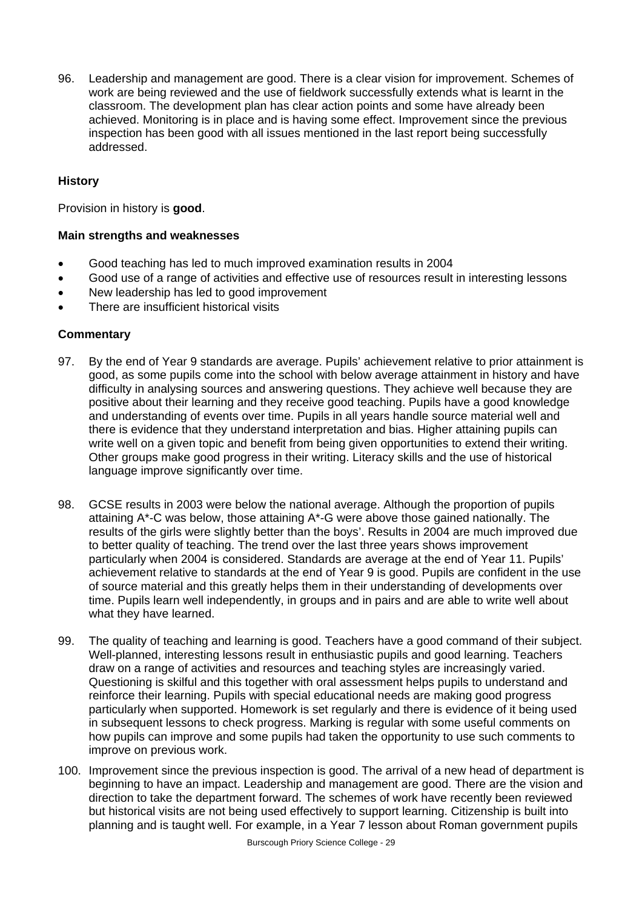96. Leadership and management are good. There is a clear vision for improvement. Schemes of work are being reviewed and the use of fieldwork successfully extends what is learnt in the classroom. The development plan has clear action points and some have already been achieved. Monitoring is in place and is having some effect. Improvement since the previous inspection has been good with all issues mentioned in the last report being successfully addressed.

# **History**

Provision in history is **good**.

#### **Main strengths and weaknesses**

- Good teaching has led to much improved examination results in 2004
- Good use of a range of activities and effective use of resources result in interesting lessons
- New leadership has led to good improvement
- There are insufficient historical visits

- 97. By the end of Year 9 standards are average. Pupils' achievement relative to prior attainment is good, as some pupils come into the school with below average attainment in history and have difficulty in analysing sources and answering questions. They achieve well because they are positive about their learning and they receive good teaching. Pupils have a good knowledge and understanding of events over time. Pupils in all years handle source material well and there is evidence that they understand interpretation and bias. Higher attaining pupils can write well on a given topic and benefit from being given opportunities to extend their writing. Other groups make good progress in their writing. Literacy skills and the use of historical language improve significantly over time.
- 98. GCSE results in 2003 were below the national average. Although the proportion of pupils attaining A\*-C was below, those attaining A\*-G were above those gained nationally. The results of the girls were slightly better than the boys'. Results in 2004 are much improved due to better quality of teaching. The trend over the last three years shows improvement particularly when 2004 is considered. Standards are average at the end of Year 11. Pupils' achievement relative to standards at the end of Year 9 is good. Pupils are confident in the use of source material and this greatly helps them in their understanding of developments over time. Pupils learn well independently, in groups and in pairs and are able to write well about what they have learned.
- 99. The quality of teaching and learning is good. Teachers have a good command of their subject. Well-planned, interesting lessons result in enthusiastic pupils and good learning. Teachers draw on a range of activities and resources and teaching styles are increasingly varied. Questioning is skilful and this together with oral assessment helps pupils to understand and reinforce their learning. Pupils with special educational needs are making good progress particularly when supported. Homework is set regularly and there is evidence of it being used in subsequent lessons to check progress. Marking is regular with some useful comments on how pupils can improve and some pupils had taken the opportunity to use such comments to improve on previous work.
- 100. Improvement since the previous inspection is good. The arrival of a new head of department is beginning to have an impact. Leadership and management are good. There are the vision and direction to take the department forward. The schemes of work have recently been reviewed but historical visits are not being used effectively to support learning. Citizenship is built into planning and is taught well. For example, in a Year 7 lesson about Roman government pupils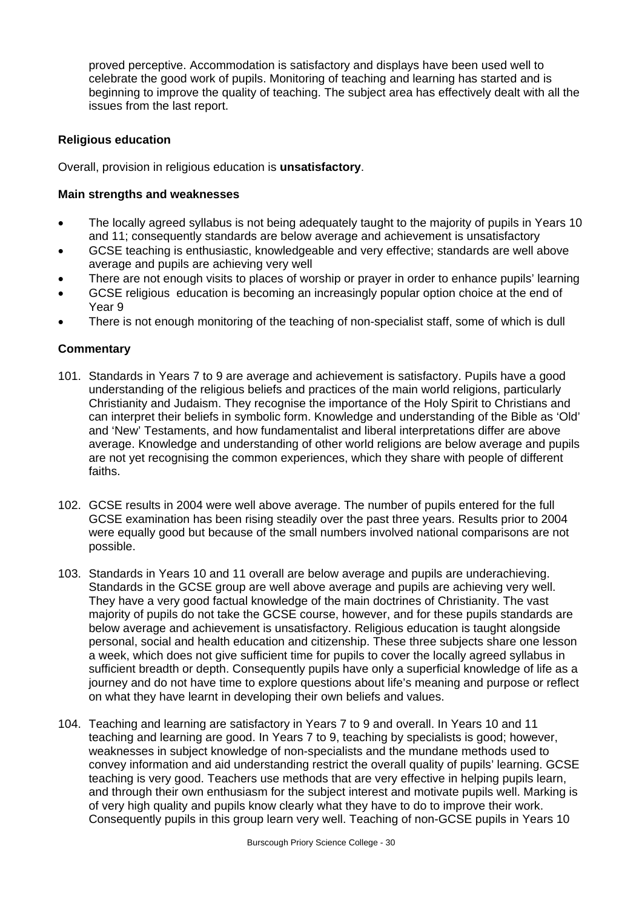proved perceptive. Accommodation is satisfactory and displays have been used well to celebrate the good work of pupils. Monitoring of teaching and learning has started and is beginning to improve the quality of teaching. The subject area has effectively dealt with all the issues from the last report.

# **Religious education**

Overall, provision in religious education is **unsatisfactory**.

# **Main strengths and weaknesses**

- The locally agreed syllabus is not being adequately taught to the majority of pupils in Years 10 and 11; consequently standards are below average and achievement is unsatisfactory
- GCSE teaching is enthusiastic, knowledgeable and very effective; standards are well above average and pupils are achieving very well
- There are not enough visits to places of worship or prayer in order to enhance pupils' learning
- GCSE religious education is becoming an increasingly popular option choice at the end of Year 9
- There is not enough monitoring of the teaching of non-specialist staff, some of which is dull

- 101. Standards in Years 7 to 9 are average and achievement is satisfactory. Pupils have a good understanding of the religious beliefs and practices of the main world religions, particularly Christianity and Judaism. They recognise the importance of the Holy Spirit to Christians and can interpret their beliefs in symbolic form. Knowledge and understanding of the Bible as 'Old' and 'New' Testaments, and how fundamentalist and liberal interpretations differ are above average. Knowledge and understanding of other world religions are below average and pupils are not yet recognising the common experiences, which they share with people of different faiths.
- 102. GCSE results in 2004 were well above average. The number of pupils entered for the full GCSE examination has been rising steadily over the past three years. Results prior to 2004 were equally good but because of the small numbers involved national comparisons are not possible.
- 103. Standards in Years 10 and 11 overall are below average and pupils are underachieving. Standards in the GCSE group are well above average and pupils are achieving very well. They have a very good factual knowledge of the main doctrines of Christianity. The vast majority of pupils do not take the GCSE course, however, and for these pupils standards are below average and achievement is unsatisfactory. Religious education is taught alongside personal, social and health education and citizenship. These three subjects share one lesson a week, which does not give sufficient time for pupils to cover the locally agreed syllabus in sufficient breadth or depth. Consequently pupils have only a superficial knowledge of life as a journey and do not have time to explore questions about life's meaning and purpose or reflect on what they have learnt in developing their own beliefs and values.
- 104. Teaching and learning are satisfactory in Years 7 to 9 and overall. In Years 10 and 11 teaching and learning are good. In Years 7 to 9, teaching by specialists is good; however, weaknesses in subject knowledge of non-specialists and the mundane methods used to convey information and aid understanding restrict the overall quality of pupils' learning. GCSE teaching is very good. Teachers use methods that are very effective in helping pupils learn, and through their own enthusiasm for the subject interest and motivate pupils well. Marking is of very high quality and pupils know clearly what they have to do to improve their work. Consequently pupils in this group learn very well. Teaching of non-GCSE pupils in Years 10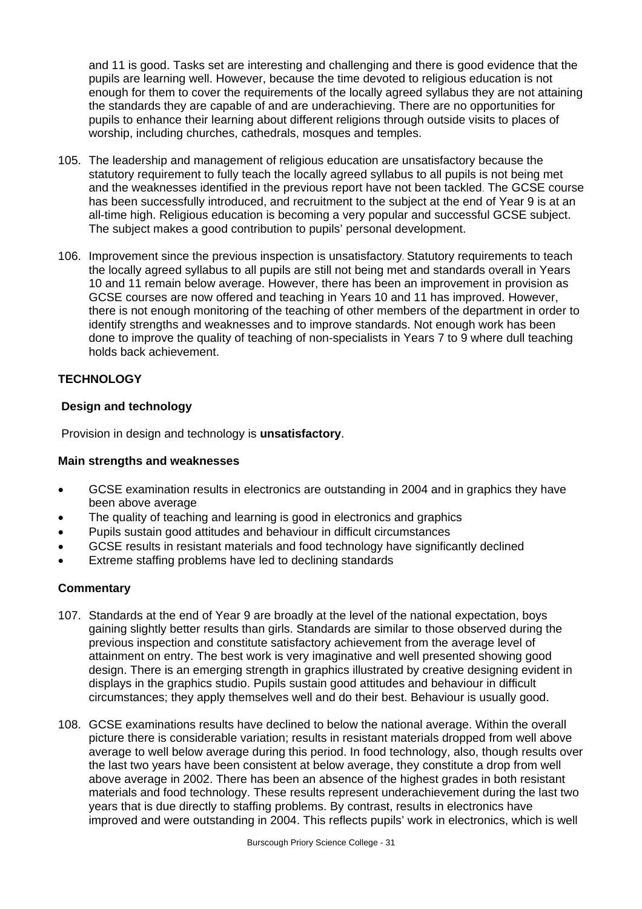and 11 is good. Tasks set are interesting and challenging and there is good evidence that the pupils are learning well. However, because the time devoted to religious education is not enough for them to cover the requirements of the locally agreed syllabus they are not attaining the standards they are capable of and are underachieving. There are no opportunities for pupils to enhance their learning about different religions through outside visits to places of worship, including churches, cathedrals, mosques and temples.

- 105. The leadership and management of religious education are unsatisfactory because the statutory requirement to fully teach the locally agreed syllabus to all pupils is not being met and the weaknesses identified in the previous report have not been tackled. The GCSE course has been successfully introduced, and recruitment to the subject at the end of Year 9 is at an all-time high. Religious education is becoming a very popular and successful GCSE subject. The subject makes a good contribution to pupils' personal development.
- 106. Improvement since the previous inspection is unsatisfactory. Statutory requirements to teach the locally agreed syllabus to all pupils are still not being met and standards overall in Years 10 and 11 remain below average. However, there has been an improvement in provision as GCSE courses are now offered and teaching in Years 10 and 11 has improved. However, there is not enough monitoring of the teaching of other members of the department in order to identify strengths and weaknesses and to improve standards. Not enough work has been done to improve the quality of teaching of non-specialists in Years 7 to 9 where dull teaching holds back achievement.

# **TECHNOLOGY**

# **Design and technology**

Provision in design and technology is **unsatisfactory**.

#### **Main strengths and weaknesses**

- GCSE examination results in electronics are outstanding in 2004 and in graphics they have been above average
- The quality of teaching and learning is good in electronics and graphics
- Pupils sustain good attitudes and behaviour in difficult circumstances
- GCSE results in resistant materials and food technology have significantly declined
- Extreme staffing problems have led to declining standards

- 107. Standards at the end of Year 9 are broadly at the level of the national expectation, boys gaining slightly better results than girls. Standards are similar to those observed during the previous inspection and constitute satisfactory achievement from the average level of attainment on entry. The best work is very imaginative and well presented showing good design. There is an emerging strength in graphics illustrated by creative designing evident in displays in the graphics studio. Pupils sustain good attitudes and behaviour in difficult circumstances; they apply themselves well and do their best. Behaviour is usually good.
- 108. GCSE examinations results have declined to below the national average. Within the overall picture there is considerable variation; results in resistant materials dropped from well above average to well below average during this period. In food technology, also, though results over the last two years have been consistent at below average, they constitute a drop from well above average in 2002. There has been an absence of the highest grades in both resistant materials and food technology. These results represent underachievement during the last two years that is due directly to staffing problems. By contrast, results in electronics have improved and were outstanding in 2004. This reflects pupils' work in electronics, which is well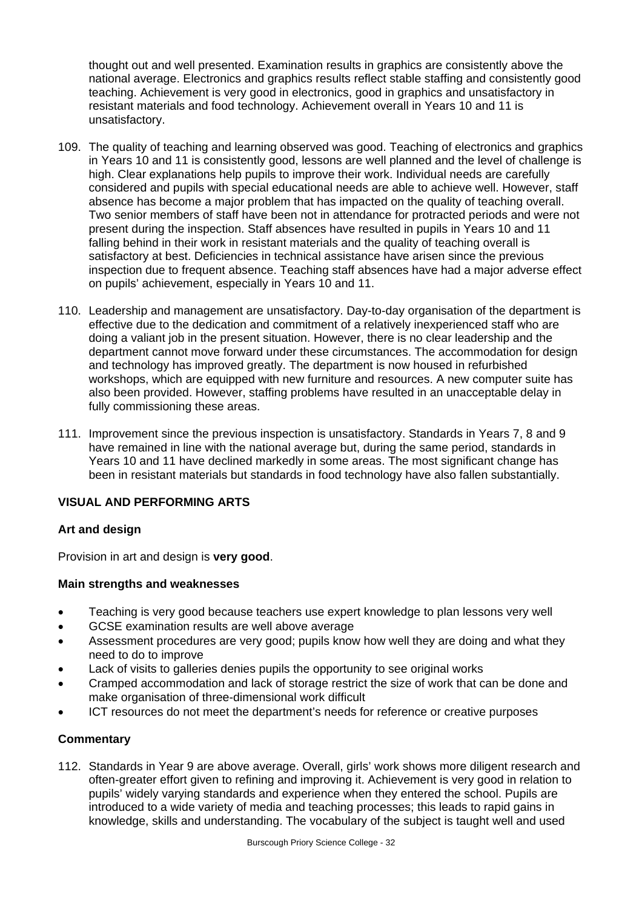thought out and well presented. Examination results in graphics are consistently above the national average. Electronics and graphics results reflect stable staffing and consistently good teaching. Achievement is very good in electronics, good in graphics and unsatisfactory in resistant materials and food technology. Achievement overall in Years 10 and 11 is unsatisfactory.

- 109. The quality of teaching and learning observed was good. Teaching of electronics and graphics in Years 10 and 11 is consistently good, lessons are well planned and the level of challenge is high. Clear explanations help pupils to improve their work. Individual needs are carefully considered and pupils with special educational needs are able to achieve well. However, staff absence has become a major problem that has impacted on the quality of teaching overall. Two senior members of staff have been not in attendance for protracted periods and were not present during the inspection. Staff absences have resulted in pupils in Years 10 and 11 falling behind in their work in resistant materials and the quality of teaching overall is satisfactory at best. Deficiencies in technical assistance have arisen since the previous inspection due to frequent absence. Teaching staff absences have had a major adverse effect on pupils' achievement, especially in Years 10 and 11.
- 110. Leadership and management are unsatisfactory. Day-to-day organisation of the department is effective due to the dedication and commitment of a relatively inexperienced staff who are doing a valiant job in the present situation. However, there is no clear leadership and the department cannot move forward under these circumstances. The accommodation for design and technology has improved greatly. The department is now housed in refurbished workshops, which are equipped with new furniture and resources. A new computer suite has also been provided. However, staffing problems have resulted in an unacceptable delay in fully commissioning these areas.
- 111. Improvement since the previous inspection is unsatisfactory. Standards in Years 7, 8 and 9 have remained in line with the national average but, during the same period, standards in Years 10 and 11 have declined markedly in some areas. The most significant change has been in resistant materials but standards in food technology have also fallen substantially.

# **VISUAL AND PERFORMING ARTS**

# **Art and design**

Provision in art and design is **very good**.

# **Main strengths and weaknesses**

- Teaching is very good because teachers use expert knowledge to plan lessons very well
- GCSE examination results are well above average
- Assessment procedures are very good; pupils know how well they are doing and what they need to do to improve
- Lack of visits to galleries denies pupils the opportunity to see original works
- Cramped accommodation and lack of storage restrict the size of work that can be done and make organisation of three-dimensional work difficult
- ICT resources do not meet the department's needs for reference or creative purposes

# **Commentary**

112. Standards in Year 9 are above average. Overall, girls' work shows more diligent research and often-greater effort given to refining and improving it. Achievement is very good in relation to pupils' widely varying standards and experience when they entered the school. Pupils are introduced to a wide variety of media and teaching processes; this leads to rapid gains in knowledge, skills and understanding. The vocabulary of the subject is taught well and used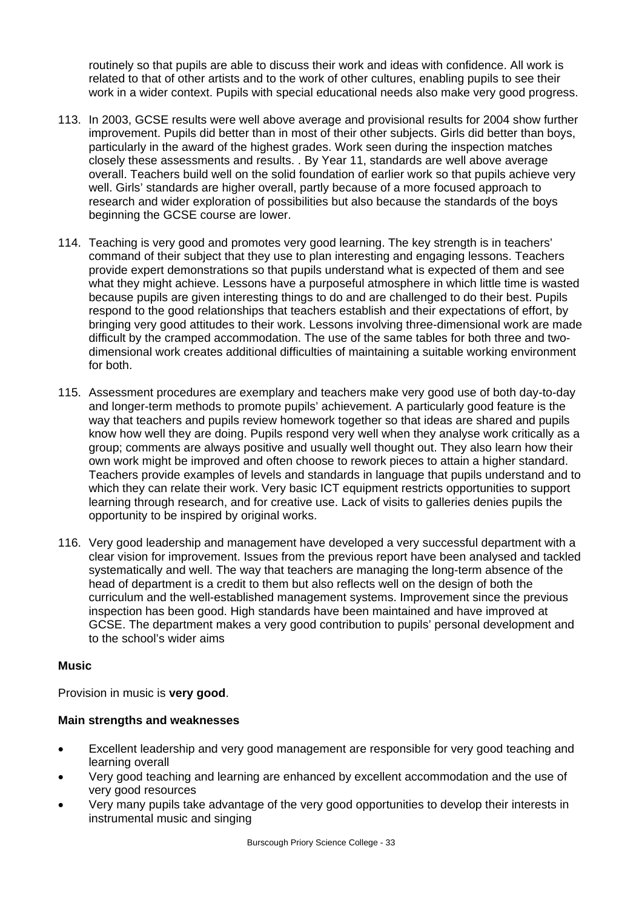routinely so that pupils are able to discuss their work and ideas with confidence. All work is related to that of other artists and to the work of other cultures, enabling pupils to see their work in a wider context. Pupils with special educational needs also make very good progress.

- 113. In 2003, GCSE results were well above average and provisional results for 2004 show further improvement. Pupils did better than in most of their other subjects. Girls did better than boys, particularly in the award of the highest grades. Work seen during the inspection matches closely these assessments and results. . By Year 11, standards are well above average overall. Teachers build well on the solid foundation of earlier work so that pupils achieve very well. Girls' standards are higher overall, partly because of a more focused approach to research and wider exploration of possibilities but also because the standards of the boys beginning the GCSE course are lower.
- 114. Teaching is very good and promotes very good learning. The key strength is in teachers' command of their subject that they use to plan interesting and engaging lessons. Teachers provide expert demonstrations so that pupils understand what is expected of them and see what they might achieve. Lessons have a purposeful atmosphere in which little time is wasted because pupils are given interesting things to do and are challenged to do their best. Pupils respond to the good relationships that teachers establish and their expectations of effort, by bringing very good attitudes to their work. Lessons involving three-dimensional work are made difficult by the cramped accommodation. The use of the same tables for both three and twodimensional work creates additional difficulties of maintaining a suitable working environment for both.
- 115. Assessment procedures are exemplary and teachers make very good use of both day-to-day and longer-term methods to promote pupils' achievement. A particularly good feature is the way that teachers and pupils review homework together so that ideas are shared and pupils know how well they are doing. Pupils respond very well when they analyse work critically as a group; comments are always positive and usually well thought out. They also learn how their own work might be improved and often choose to rework pieces to attain a higher standard. Teachers provide examples of levels and standards in language that pupils understand and to which they can relate their work. Very basic ICT equipment restricts opportunities to support learning through research, and for creative use. Lack of visits to galleries denies pupils the opportunity to be inspired by original works.
- 116. Very good leadership and management have developed a very successful department with a clear vision for improvement. Issues from the previous report have been analysed and tackled systematically and well. The way that teachers are managing the long-term absence of the head of department is a credit to them but also reflects well on the design of both the curriculum and the well-established management systems. Improvement since the previous inspection has been good. High standards have been maintained and have improved at GCSE. The department makes a very good contribution to pupils' personal development and to the school's wider aims

# **Music**

Provision in music is **very good**.

# **Main strengths and weaknesses**

- Excellent leadership and very good management are responsible for very good teaching and learning overall
- Very good teaching and learning are enhanced by excellent accommodation and the use of very good resources
- Very many pupils take advantage of the very good opportunities to develop their interests in instrumental music and singing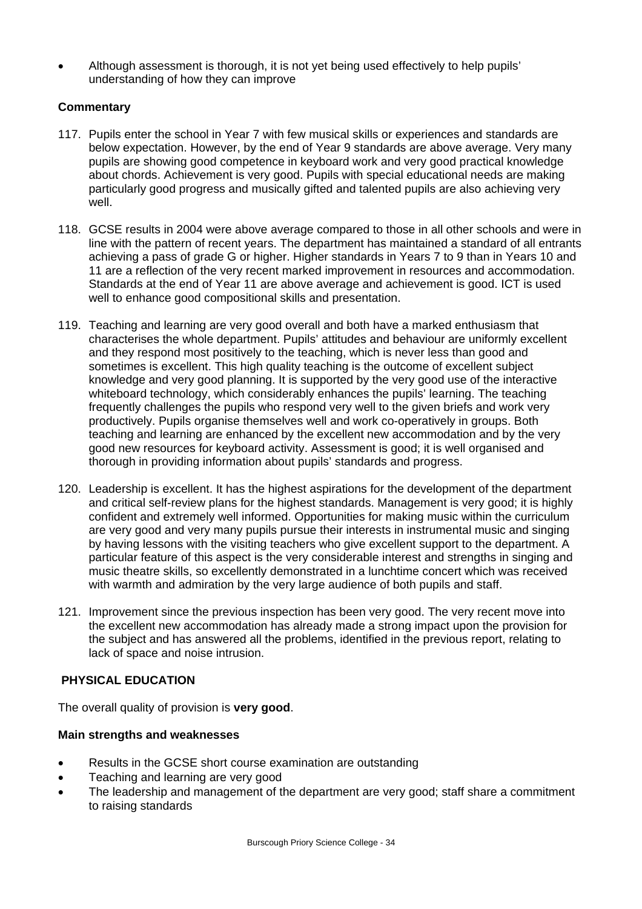• Although assessment is thorough, it is not yet being used effectively to help pupils' understanding of how they can improve

# **Commentary**

- 117. Pupils enter the school in Year 7 with few musical skills or experiences and standards are below expectation. However, by the end of Year 9 standards are above average. Very many pupils are showing good competence in keyboard work and very good practical knowledge about chords. Achievement is very good. Pupils with special educational needs are making particularly good progress and musically gifted and talented pupils are also achieving very well.
- 118. GCSE results in 2004 were above average compared to those in all other schools and were in line with the pattern of recent years. The department has maintained a standard of all entrants achieving a pass of grade G or higher. Higher standards in Years 7 to 9 than in Years 10 and 11 are a reflection of the very recent marked improvement in resources and accommodation. Standards at the end of Year 11 are above average and achievement is good. ICT is used well to enhance good compositional skills and presentation.
- 119. Teaching and learning are very good overall and both have a marked enthusiasm that characterises the whole department. Pupils' attitudes and behaviour are uniformly excellent and they respond most positively to the teaching, which is never less than good and sometimes is excellent. This high quality teaching is the outcome of excellent subject knowledge and very good planning. It is supported by the very good use of the interactive whiteboard technology, which considerably enhances the pupils' learning. The teaching frequently challenges the pupils who respond very well to the given briefs and work very productively. Pupils organise themselves well and work co-operatively in groups. Both teaching and learning are enhanced by the excellent new accommodation and by the very good new resources for keyboard activity. Assessment is good; it is well organised and thorough in providing information about pupils' standards and progress.
- 120. Leadership is excellent. It has the highest aspirations for the development of the department and critical self-review plans for the highest standards. Management is very good; it is highly confident and extremely well informed. Opportunities for making music within the curriculum are very good and very many pupils pursue their interests in instrumental music and singing by having lessons with the visiting teachers who give excellent support to the department. A particular feature of this aspect is the very considerable interest and strengths in singing and music theatre skills, so excellently demonstrated in a lunchtime concert which was received with warmth and admiration by the very large audience of both pupils and staff.
- 121. Improvement since the previous inspection has been very good. The very recent move into the excellent new accommodation has already made a strong impact upon the provision for the subject and has answered all the problems, identified in the previous report, relating to lack of space and noise intrusion.

# **PHYSICAL EDUCATION**

The overall quality of provision is **very good**.

# **Main strengths and weaknesses**

- Results in the GCSE short course examination are outstanding
- Teaching and learning are very good
- The leadership and management of the department are very good; staff share a commitment to raising standards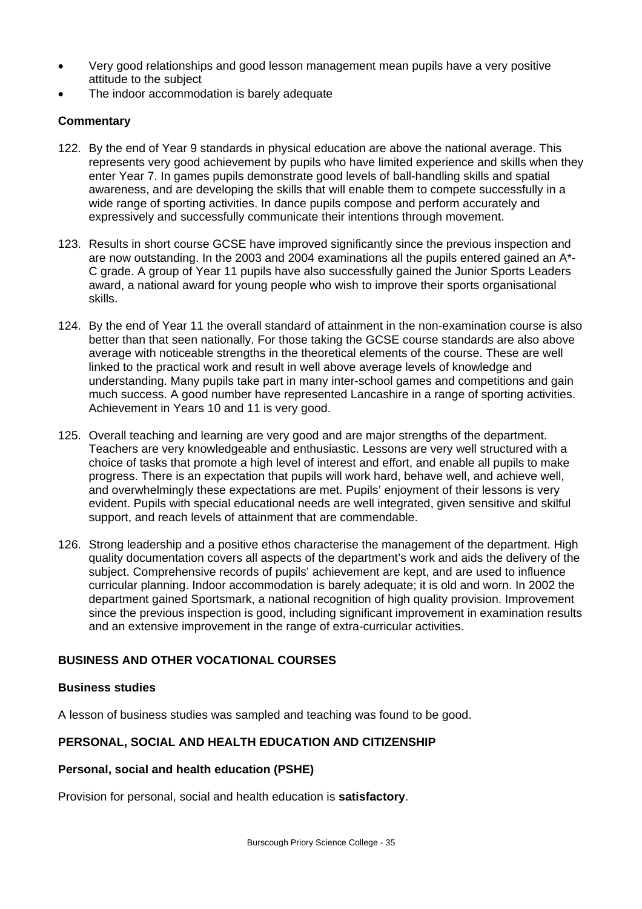- Very good relationships and good lesson management mean pupils have a very positive attitude to the subject
- The indoor accommodation is barely adequate

# **Commentary**

- 122. By the end of Year 9 standards in physical education are above the national average. This represents very good achievement by pupils who have limited experience and skills when they enter Year 7. In games pupils demonstrate good levels of ball-handling skills and spatial awareness, and are developing the skills that will enable them to compete successfully in a wide range of sporting activities. In dance pupils compose and perform accurately and expressively and successfully communicate their intentions through movement.
- 123. Results in short course GCSE have improved significantly since the previous inspection and are now outstanding. In the 2003 and 2004 examinations all the pupils entered gained an A\*- C grade. A group of Year 11 pupils have also successfully gained the Junior Sports Leaders award, a national award for young people who wish to improve their sports organisational skills.
- 124. By the end of Year 11 the overall standard of attainment in the non-examination course is also better than that seen nationally. For those taking the GCSE course standards are also above average with noticeable strengths in the theoretical elements of the course. These are well linked to the practical work and result in well above average levels of knowledge and understanding. Many pupils take part in many inter-school games and competitions and gain much success. A good number have represented Lancashire in a range of sporting activities. Achievement in Years 10 and 11 is very good.
- 125. Overall teaching and learning are very good and are major strengths of the department. Teachers are very knowledgeable and enthusiastic. Lessons are very well structured with a choice of tasks that promote a high level of interest and effort, and enable all pupils to make progress. There is an expectation that pupils will work hard, behave well, and achieve well, and overwhelmingly these expectations are met. Pupils' enjoyment of their lessons is very evident. Pupils with special educational needs are well integrated, given sensitive and skilful support, and reach levels of attainment that are commendable.
- 126. Strong leadership and a positive ethos characterise the management of the department. High quality documentation covers all aspects of the department's work and aids the delivery of the subject. Comprehensive records of pupils' achievement are kept, and are used to influence curricular planning. Indoor accommodation is barely adequate; it is old and worn. In 2002 the department gained Sportsmark, a national recognition of high quality provision. Improvement since the previous inspection is good, including significant improvement in examination results and an extensive improvement in the range of extra-curricular activities.

# **BUSINESS AND OTHER VOCATIONAL COURSES**

#### **Business studies**

A lesson of business studies was sampled and teaching was found to be good.

# **PERSONAL, SOCIAL AND HEALTH EDUCATION AND CITIZENSHIP**

# **Personal, social and health education (PSHE)**

Provision for personal, social and health education is **satisfactory**.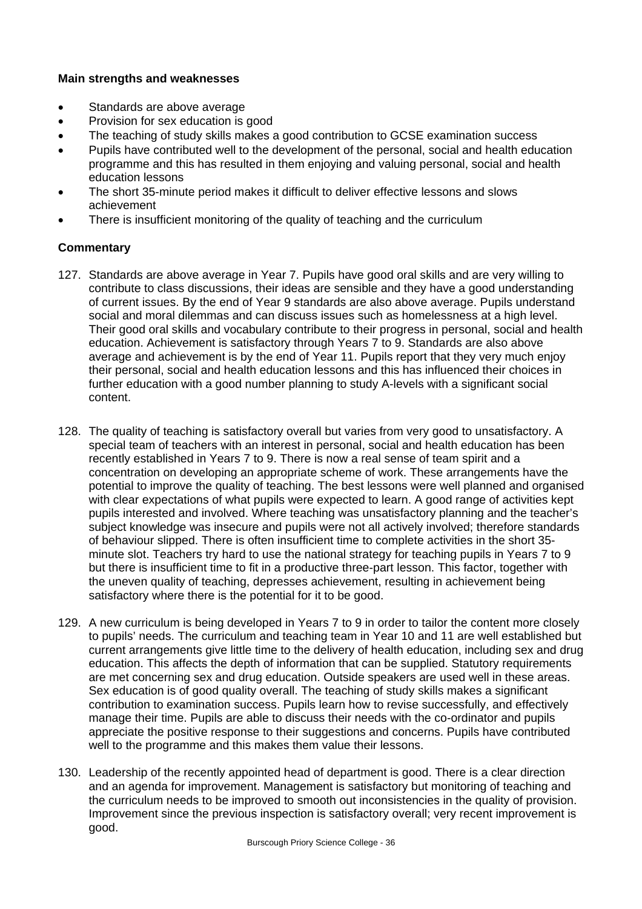# **Main strengths and weaknesses**

- Standards are above average
- Provision for sex education is good
- The teaching of study skills makes a good contribution to GCSE examination success
- Pupils have contributed well to the development of the personal, social and health education programme and this has resulted in them enjoying and valuing personal, social and health education lessons
- The short 35-minute period makes it difficult to deliver effective lessons and slows achievement
- There is insufficient monitoring of the quality of teaching and the curriculum

- 127. Standards are above average in Year 7. Pupils have good oral skills and are very willing to contribute to class discussions, their ideas are sensible and they have a good understanding of current issues. By the end of Year 9 standards are also above average. Pupils understand social and moral dilemmas and can discuss issues such as homelessness at a high level. Their good oral skills and vocabulary contribute to their progress in personal, social and health education. Achievement is satisfactory through Years 7 to 9. Standards are also above average and achievement is by the end of Year 11. Pupils report that they very much enjoy their personal, social and health education lessons and this has influenced their choices in further education with a good number planning to study A-levels with a significant social content.
- 128. The quality of teaching is satisfactory overall but varies from very good to unsatisfactory. A special team of teachers with an interest in personal, social and health education has been recently established in Years 7 to 9. There is now a real sense of team spirit and a concentration on developing an appropriate scheme of work. These arrangements have the potential to improve the quality of teaching. The best lessons were well planned and organised with clear expectations of what pupils were expected to learn. A good range of activities kept pupils interested and involved. Where teaching was unsatisfactory planning and the teacher's subject knowledge was insecure and pupils were not all actively involved; therefore standards of behaviour slipped. There is often insufficient time to complete activities in the short 35 minute slot. Teachers try hard to use the national strategy for teaching pupils in Years 7 to 9 but there is insufficient time to fit in a productive three-part lesson. This factor, together with the uneven quality of teaching, depresses achievement, resulting in achievement being satisfactory where there is the potential for it to be good.
- 129. A new curriculum is being developed in Years 7 to 9 in order to tailor the content more closely to pupils' needs. The curriculum and teaching team in Year 10 and 11 are well established but current arrangements give little time to the delivery of health education, including sex and drug education. This affects the depth of information that can be supplied. Statutory requirements are met concerning sex and drug education. Outside speakers are used well in these areas. Sex education is of good quality overall. The teaching of study skills makes a significant contribution to examination success. Pupils learn how to revise successfully, and effectively manage their time. Pupils are able to discuss their needs with the co-ordinator and pupils appreciate the positive response to their suggestions and concerns. Pupils have contributed well to the programme and this makes them value their lessons.
- 130. Leadership of the recently appointed head of department is good. There is a clear direction and an agenda for improvement. Management is satisfactory but monitoring of teaching and the curriculum needs to be improved to smooth out inconsistencies in the quality of provision. Improvement since the previous inspection is satisfactory overall; very recent improvement is good.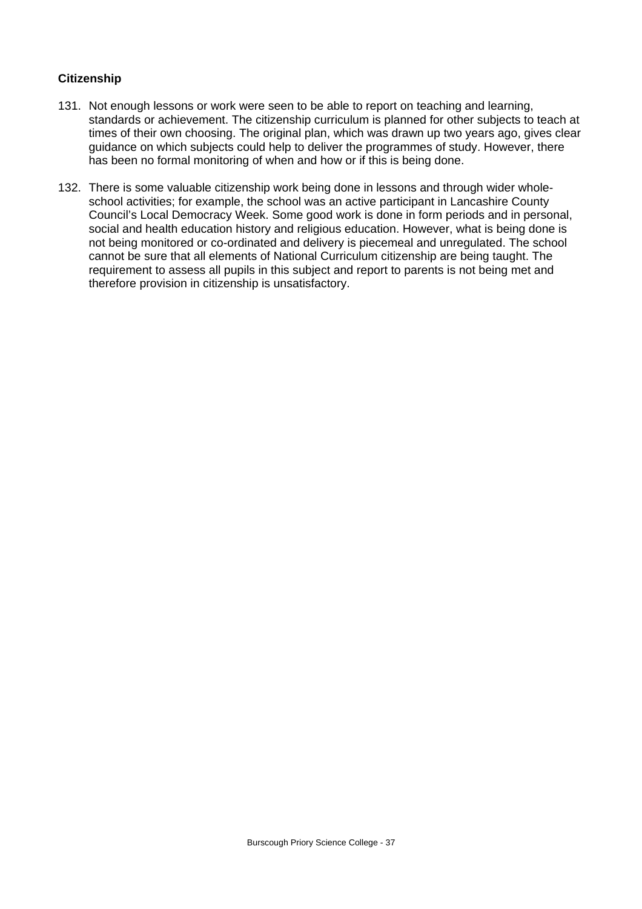# **Citizenship**

- 131. Not enough lessons or work were seen to be able to report on teaching and learning, standards or achievement. The citizenship curriculum is planned for other subjects to teach at times of their own choosing. The original plan, which was drawn up two years ago, gives clear guidance on which subjects could help to deliver the programmes of study. However, there has been no formal monitoring of when and how or if this is being done.
- 132. There is some valuable citizenship work being done in lessons and through wider wholeschool activities; for example, the school was an active participant in Lancashire County Council's Local Democracy Week. Some good work is done in form periods and in personal, social and health education history and religious education. However, what is being done is not being monitored or co-ordinated and delivery is piecemeal and unregulated. The school cannot be sure that all elements of National Curriculum citizenship are being taught. The requirement to assess all pupils in this subject and report to parents is not being met and therefore provision in citizenship is unsatisfactory.